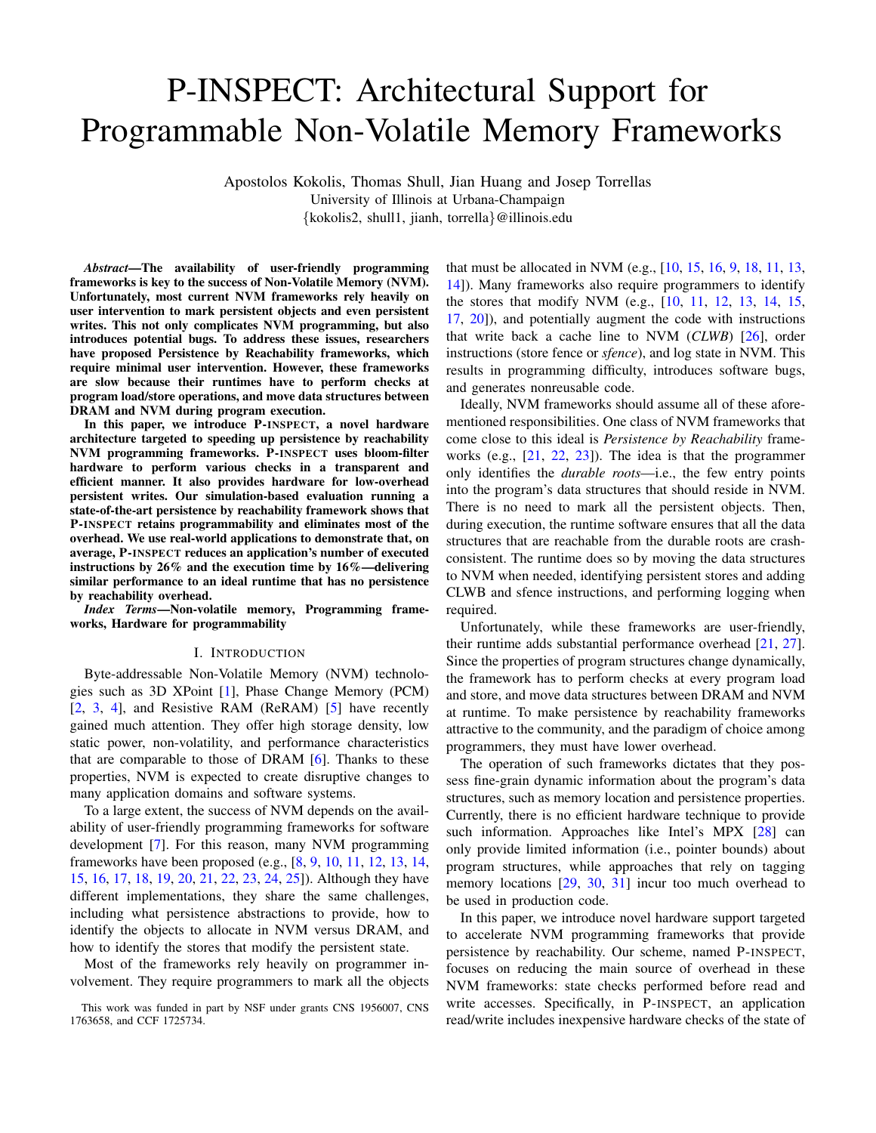# P-INSPECT: Architectural Support for Programmable Non-Volatile Memory Frameworks

Apostolos Kokolis, Thomas Shull, Jian Huang and Josep Torrellas University of Illinois at Urbana-Champaign {kokolis2, shull1, jianh, torrella}@illinois.edu

*Abstract*—The availability of user-friendly programming frameworks is key to the success of Non-Volatile Memory (NVM). Unfortunately, most current NVM frameworks rely heavily on user intervention to mark persistent objects and even persistent writes. This not only complicates NVM programming, but also introduces potential bugs. To address these issues, researchers have proposed Persistence by Reachability frameworks, which require minimal user intervention. However, these frameworks are slow because their runtimes have to perform checks at program load/store operations, and move data structures between DRAM and NVM during program execution.

In this paper, we introduce P-INSPECT, a novel hardware architecture targeted to speeding up persistence by reachability NVM programming frameworks. P-INSPECT uses bloom-filter hardware to perform various checks in a transparent and efficient manner. It also provides hardware for low-overhead persistent writes. Our simulation-based evaluation running a state-of-the-art persistence by reachability framework shows that P-INSPECT retains programmability and eliminates most of the overhead. We use real-world applications to demonstrate that, on average, P-INSPECT reduces an application's number of executed instructions by 26% and the execution time by 16%—delivering similar performance to an ideal runtime that has no persistence by reachability overhead.

*Index Terms*—Non-volatile memory, Programming frameworks, Hardware for programmability

#### I. INTRODUCTION

Byte-addressable Non-Volatile Memory (NVM) technologies such as 3D XPoint [\[1\]](#page-12-0), Phase Change Memory (PCM) [\[2,](#page-12-1) [3,](#page-12-2) [4\]](#page-12-3), and Resistive RAM (ReRAM) [\[5\]](#page-12-4) have recently gained much attention. They offer high storage density, low static power, non-volatility, and performance characteristics that are comparable to those of DRAM [\[6\]](#page-13-0). Thanks to these properties, NVM is expected to create disruptive changes to many application domains and software systems.

To a large extent, the success of NVM depends on the availability of user-friendly programming frameworks for software development [\[7\]](#page-13-1). For this reason, many NVM programming frameworks have been proposed (e.g., [\[8,](#page-13-2) [9,](#page-13-3) [10,](#page-13-4) [11,](#page-13-5) [12,](#page-13-6) [13,](#page-13-7) [14,](#page-13-8) [15,](#page-13-9) [16,](#page-13-10) [17,](#page-13-11) [18,](#page-13-12) [19,](#page-13-13) [20,](#page-13-14) [21,](#page-13-15) [22,](#page-13-16) [23,](#page-13-17) [24,](#page-13-18) [25\]](#page-13-19)). Although they have different implementations, they share the same challenges, including what persistence abstractions to provide, how to identify the objects to allocate in NVM versus DRAM, and how to identify the stores that modify the persistent state.

Most of the frameworks rely heavily on programmer involvement. They require programmers to mark all the objects that must be allocated in NVM (e.g., [\[10,](#page-13-4) [15,](#page-13-9) [16,](#page-13-10) [9,](#page-13-3) [18,](#page-13-12) [11,](#page-13-5) [13,](#page-13-7) [14\]](#page-13-8)). Many frameworks also require programmers to identify the stores that modify NVM (e.g., [\[10,](#page-13-4) [11,](#page-13-5) [12,](#page-13-6) [13,](#page-13-7) [14,](#page-13-8) [15,](#page-13-9) [17,](#page-13-11) [20\]](#page-13-14)), and potentially augment the code with instructions that write back a cache line to NVM (*CLWB*) [\[26\]](#page-13-20), order instructions (store fence or *sfence*), and log state in NVM. This results in programming difficulty, introduces software bugs, and generates nonreusable code.

Ideally, NVM frameworks should assume all of these aforementioned responsibilities. One class of NVM frameworks that come close to this ideal is *Persistence by Reachability* frameworks (e.g., [\[21,](#page-13-15) [22,](#page-13-16) [23\]](#page-13-17)). The idea is that the programmer only identifies the *durable roots*—i.e., the few entry points into the program's data structures that should reside in NVM. There is no need to mark all the persistent objects. Then, during execution, the runtime software ensures that all the data structures that are reachable from the durable roots are crashconsistent. The runtime does so by moving the data structures to NVM when needed, identifying persistent stores and adding CLWB and sfence instructions, and performing logging when required.

Unfortunately, while these frameworks are user-friendly, their runtime adds substantial performance overhead [\[21,](#page-13-15) [27\]](#page-13-21). Since the properties of program structures change dynamically, the framework has to perform checks at every program load and store, and move data structures between DRAM and NVM at runtime. To make persistence by reachability frameworks attractive to the community, and the paradigm of choice among programmers, they must have lower overhead.

The operation of such frameworks dictates that they possess fine-grain dynamic information about the program's data structures, such as memory location and persistence properties. Currently, there is no efficient hardware technique to provide such information. Approaches like Intel's MPX [\[28\]](#page-13-22) can only provide limited information (i.e., pointer bounds) about program structures, while approaches that rely on tagging memory locations [\[29,](#page-13-23) [30,](#page-13-24) [31\]](#page-13-25) incur too much overhead to be used in production code.

In this paper, we introduce novel hardware support targeted to accelerate NVM programming frameworks that provide persistence by reachability. Our scheme, named P-INSPECT, focuses on reducing the main source of overhead in these NVM frameworks: state checks performed before read and write accesses. Specifically, in P-INSPECT, an application read/write includes inexpensive hardware checks of the state of

This work was funded in part by NSF under grants CNS 1956007, CNS 1763658, and CCF 1725734.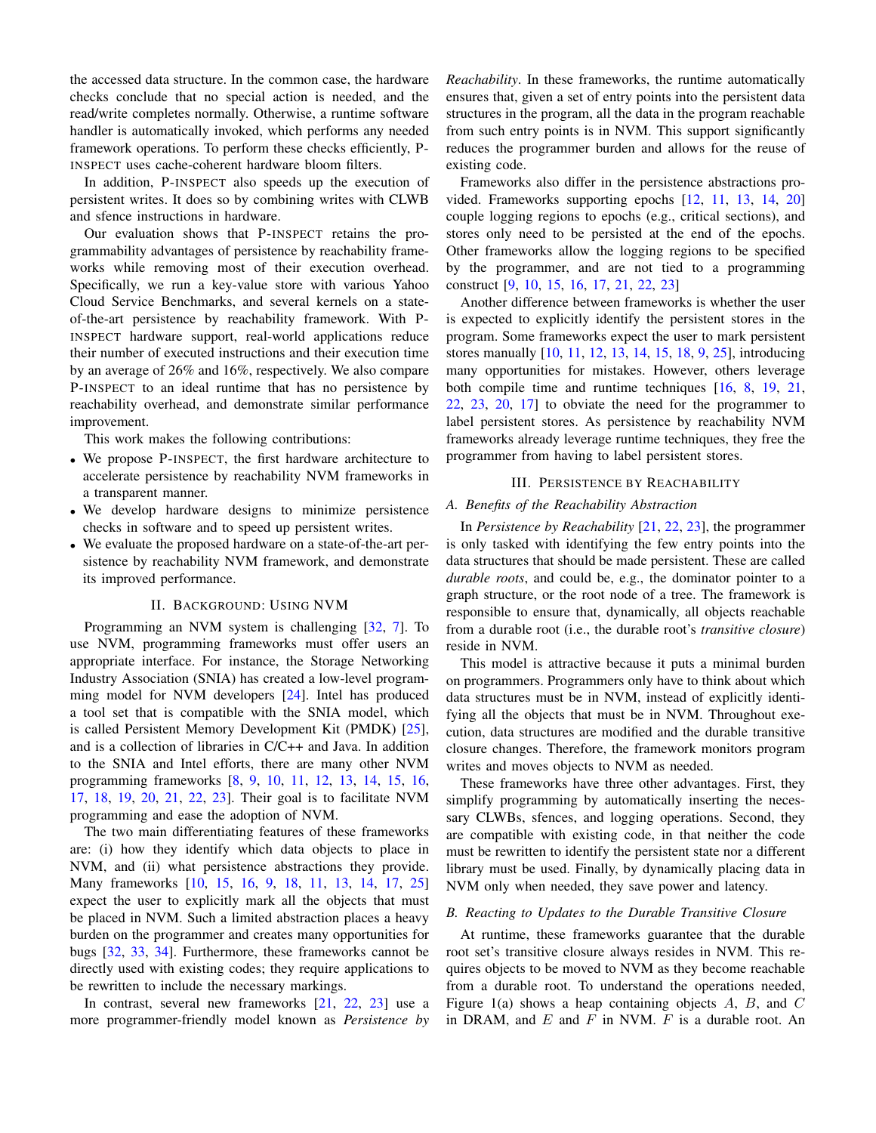the accessed data structure. In the common case, the hardware checks conclude that no special action is needed, and the read/write completes normally. Otherwise, a runtime software handler is automatically invoked, which performs any needed framework operations. To perform these checks efficiently, P-INSPECT uses cache-coherent hardware bloom filters.

In addition, P-INSPECT also speeds up the execution of persistent writes. It does so by combining writes with CLWB and sfence instructions in hardware.

Our evaluation shows that P-INSPECT retains the programmability advantages of persistence by reachability frameworks while removing most of their execution overhead. Specifically, we run a key-value store with various Yahoo Cloud Service Benchmarks, and several kernels on a stateof-the-art persistence by reachability framework. With P-INSPECT hardware support, real-world applications reduce their number of executed instructions and their execution time by an average of 26% and 16%, respectively. We also compare P-INSPECT to an ideal runtime that has no persistence by reachability overhead, and demonstrate similar performance improvement.

This work makes the following contributions:

- We propose P-INSPECT, the first hardware architecture to accelerate persistence by reachability NVM frameworks in a transparent manner.
- We develop hardware designs to minimize persistence checks in software and to speed up persistent writes.
- We evaluate the proposed hardware on a state-of-the-art persistence by reachability NVM framework, and demonstrate its improved performance.

# II. BACKGROUND: USING NVM

<span id="page-1-2"></span>Programming an NVM system is challenging [\[32,](#page-13-26) [7\]](#page-13-1). To use NVM, programming frameworks must offer users an appropriate interface. For instance, the Storage Networking Industry Association (SNIA) has created a low-level programming model for NVM developers [\[24\]](#page-13-18). Intel has produced a tool set that is compatible with the SNIA model, which is called Persistent Memory Development Kit (PMDK) [\[25\]](#page-13-19), and is a collection of libraries in C/C++ and Java. In addition to the SNIA and Intel efforts, there are many other NVM programming frameworks [\[8,](#page-13-2) [9,](#page-13-3) [10,](#page-13-4) [11,](#page-13-5) [12,](#page-13-6) [13,](#page-13-7) [14,](#page-13-8) [15,](#page-13-9) [16,](#page-13-10) [17,](#page-13-11) [18,](#page-13-12) [19,](#page-13-13) [20,](#page-13-14) [21,](#page-13-15) [22,](#page-13-16) [23\]](#page-13-17). Their goal is to facilitate NVM programming and ease the adoption of NVM.

The two main differentiating features of these frameworks are: (i) how they identify which data objects to place in NVM, and (ii) what persistence abstractions they provide. Many frameworks [\[10,](#page-13-4) [15,](#page-13-9) [16,](#page-13-10) [9,](#page-13-3) [18,](#page-13-12) [11,](#page-13-5) [13,](#page-13-7) [14,](#page-13-8) [17,](#page-13-11) [25\]](#page-13-19) expect the user to explicitly mark all the objects that must be placed in NVM. Such a limited abstraction places a heavy burden on the programmer and creates many opportunities for bugs [\[32,](#page-13-26) [33,](#page-13-27) [34\]](#page-13-28). Furthermore, these frameworks cannot be directly used with existing codes; they require applications to be rewritten to include the necessary markings.

In contrast, several new frameworks [\[21,](#page-13-15) [22,](#page-13-16) [23\]](#page-13-17) use a more programmer-friendly model known as *Persistence by* *Reachability*. In these frameworks, the runtime automatically ensures that, given a set of entry points into the persistent data structures in the program, all the data in the program reachable from such entry points is in NVM. This support significantly reduces the programmer burden and allows for the reuse of existing code.

Frameworks also differ in the persistence abstractions provided. Frameworks supporting epochs [\[12,](#page-13-6) [11,](#page-13-5) [13,](#page-13-7) [14,](#page-13-8) [20\]](#page-13-14) couple logging regions to epochs (e.g., critical sections), and stores only need to be persisted at the end of the epochs. Other frameworks allow the logging regions to be specified by the programmer, and are not tied to a programming construct [\[9,](#page-13-3) [10,](#page-13-4) [15,](#page-13-9) [16,](#page-13-10) [17,](#page-13-11) [21,](#page-13-15) [22,](#page-13-16) [23\]](#page-13-17)

Another difference between frameworks is whether the user is expected to explicitly identify the persistent stores in the program. Some frameworks expect the user to mark persistent stores manually [\[10,](#page-13-4) [11,](#page-13-5) [12,](#page-13-6) [13,](#page-13-7) [14,](#page-13-8) [15,](#page-13-9) [18,](#page-13-12) [9,](#page-13-3) [25\]](#page-13-19), introducing many opportunities for mistakes. However, others leverage both compile time and runtime techniques [\[16,](#page-13-10) [8,](#page-13-2) [19,](#page-13-13) [21,](#page-13-15) [22,](#page-13-16) [23,](#page-13-17) [20,](#page-13-14) [17\]](#page-13-11) to obviate the need for the programmer to label persistent stores. As persistence by reachability NVM frameworks already leverage runtime techniques, they free the programmer from having to label persistent stores.

# III. PERSISTENCE BY REACHABILITY

#### <span id="page-1-1"></span>*A. Benefits of the Reachability Abstraction*

In *Persistence by Reachability* [\[21,](#page-13-15) [22,](#page-13-16) [23\]](#page-13-17), the programmer is only tasked with identifying the few entry points into the data structures that should be made persistent. These are called *durable roots*, and could be, e.g., the dominator pointer to a graph structure, or the root node of a tree. The framework is responsible to ensure that, dynamically, all objects reachable from a durable root (i.e., the durable root's *transitive closure*) reside in NVM.

This model is attractive because it puts a minimal burden on programmers. Programmers only have to think about which data structures must be in NVM, instead of explicitly identifying all the objects that must be in NVM. Throughout execution, data structures are modified and the durable transitive closure changes. Therefore, the framework monitors program writes and moves objects to NVM as needed.

These frameworks have three other advantages. First, they simplify programming by automatically inserting the necessary CLWBs, sfences, and logging operations. Second, they are compatible with existing code, in that neither the code must be rewritten to identify the persistent state nor a different library must be used. Finally, by dynamically placing data in NVM only when needed, they save power and latency.

#### <span id="page-1-0"></span>*B. Reacting to Updates to the Durable Transitive Closure*

At runtime, these frameworks guarantee that the durable root set's transitive closure always resides in NVM. This requires objects to be moved to NVM as they become reachable from a durable root. To understand the operations needed, Figure [1\(](#page-2-0)a) shows a heap containing objects  $A$ ,  $B$ , and  $C$ in DRAM, and  $E$  and  $F$  in NVM.  $F$  is a durable root. An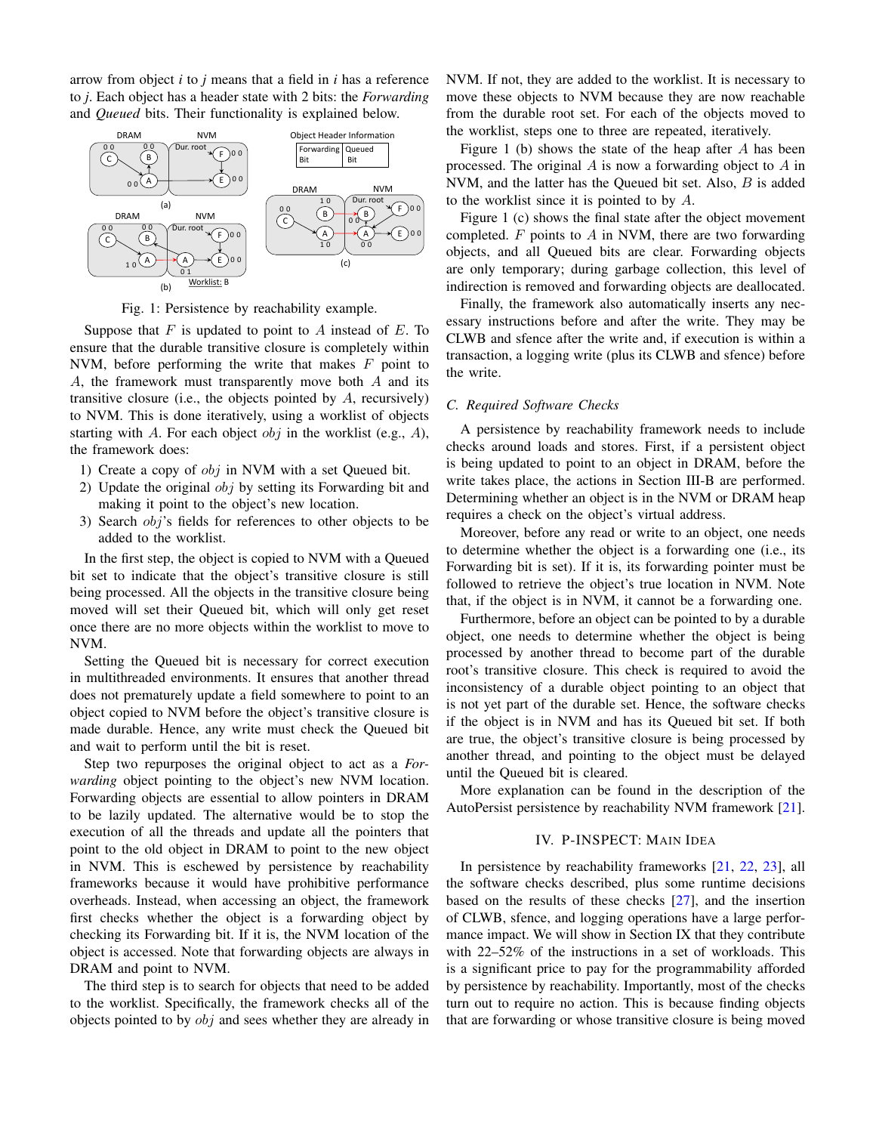arrow from object *i* to *j* means that a field in *i* has a reference to *j*. Each object has a header state with 2 bits: the *Forwarding* and *Queued* bits. Their functionality is explained below.

<span id="page-2-0"></span>

Fig. 1: Persistence by reachability example.

Suppose that  $F$  is updated to point to  $A$  instead of  $E$ . To ensure that the durable transitive closure is completely within NVM, before performing the write that makes  $F$  point to A, the framework must transparently move both A and its transitive closure (i.e., the objects pointed by  $A$ , recursively) to NVM. This is done iteratively, using a worklist of objects starting with A. For each object  $obj$  in the worklist (e.g., A), the framework does:

- 1) Create a copy of obj in NVM with a set Queued bit.
- 2) Update the original  $obj$  by setting its Forwarding bit and making it point to the object's new location.
- 3) Search obj's fields for references to other objects to be added to the worklist.

In the first step, the object is copied to NVM with a Queued bit set to indicate that the object's transitive closure is still being processed. All the objects in the transitive closure being moved will set their Queued bit, which will only get reset once there are no more objects within the worklist to move to NVM.

Setting the Queued bit is necessary for correct execution in multithreaded environments. It ensures that another thread does not prematurely update a field somewhere to point to an object copied to NVM before the object's transitive closure is made durable. Hence, any write must check the Queued bit and wait to perform until the bit is reset.

Step two repurposes the original object to act as a *Forwarding* object pointing to the object's new NVM location. Forwarding objects are essential to allow pointers in DRAM to be lazily updated. The alternative would be to stop the execution of all the threads and update all the pointers that point to the old object in DRAM to point to the new object in NVM. This is eschewed by persistence by reachability frameworks because it would have prohibitive performance overheads. Instead, when accessing an object, the framework first checks whether the object is a forwarding object by checking its Forwarding bit. If it is, the NVM location of the object is accessed. Note that forwarding objects are always in DRAM and point to NVM.

The third step is to search for objects that need to be added to the worklist. Specifically, the framework checks all of the objects pointed to by  $obj$  and sees whether they are already in

NVM. If not, they are added to the worklist. It is necessary to move these objects to NVM because they are now reachable from the durable root set. For each of the objects moved to the worklist, steps one to three are repeated, iteratively.

Figure [1](#page-2-0) (b) shows the state of the heap after  $A$  has been processed. The original  $A$  is now a forwarding object to  $A$  in NVM, and the latter has the Queued bit set. Also, B is added to the worklist since it is pointed to by A.

Figure [1](#page-2-0) (c) shows the final state after the object movement completed.  $F$  points to  $A$  in NVM, there are two forwarding objects, and all Queued bits are clear. Forwarding objects are only temporary; during garbage collection, this level of indirection is removed and forwarding objects are deallocated.

Finally, the framework also automatically inserts any necessary instructions before and after the write. They may be CLWB and sfence after the write and, if execution is within a transaction, a logging write (plus its CLWB and sfence) before the write.

### <span id="page-2-1"></span>*C. Required Software Checks*

A persistence by reachability framework needs to include checks around loads and stores. First, if a persistent object is being updated to point to an object in DRAM, before the write takes place, the actions in Section [III-B](#page-1-0) are performed. Determining whether an object is in the NVM or DRAM heap requires a check on the object's virtual address.

Moreover, before any read or write to an object, one needs to determine whether the object is a forwarding one (i.e., its Forwarding bit is set). If it is, its forwarding pointer must be followed to retrieve the object's true location in NVM. Note that, if the object is in NVM, it cannot be a forwarding one.

Furthermore, before an object can be pointed to by a durable object, one needs to determine whether the object is being processed by another thread to become part of the durable root's transitive closure. This check is required to avoid the inconsistency of a durable object pointing to an object that is not yet part of the durable set. Hence, the software checks if the object is in NVM and has its Queued bit set. If both are true, the object's transitive closure is being processed by another thread, and pointing to the object must be delayed until the Queued bit is cleared.

More explanation can be found in the description of the AutoPersist persistence by reachability NVM framework [\[21\]](#page-13-15).

# IV. P-INSPECT: MAIN IDEA

In persistence by reachability frameworks [\[21,](#page-13-15) [22,](#page-13-16) [23\]](#page-13-17), all the software checks described, plus some runtime decisions based on the results of these checks [\[27\]](#page-13-21), and the insertion of CLWB, sfence, and logging operations have a large performance impact. We will show in Section [IX](#page-9-0) that they contribute with 22–52% of the instructions in a set of workloads. This is a significant price to pay for the programmability afforded by persistence by reachability. Importantly, most of the checks turn out to require no action. This is because finding objects that are forwarding or whose transitive closure is being moved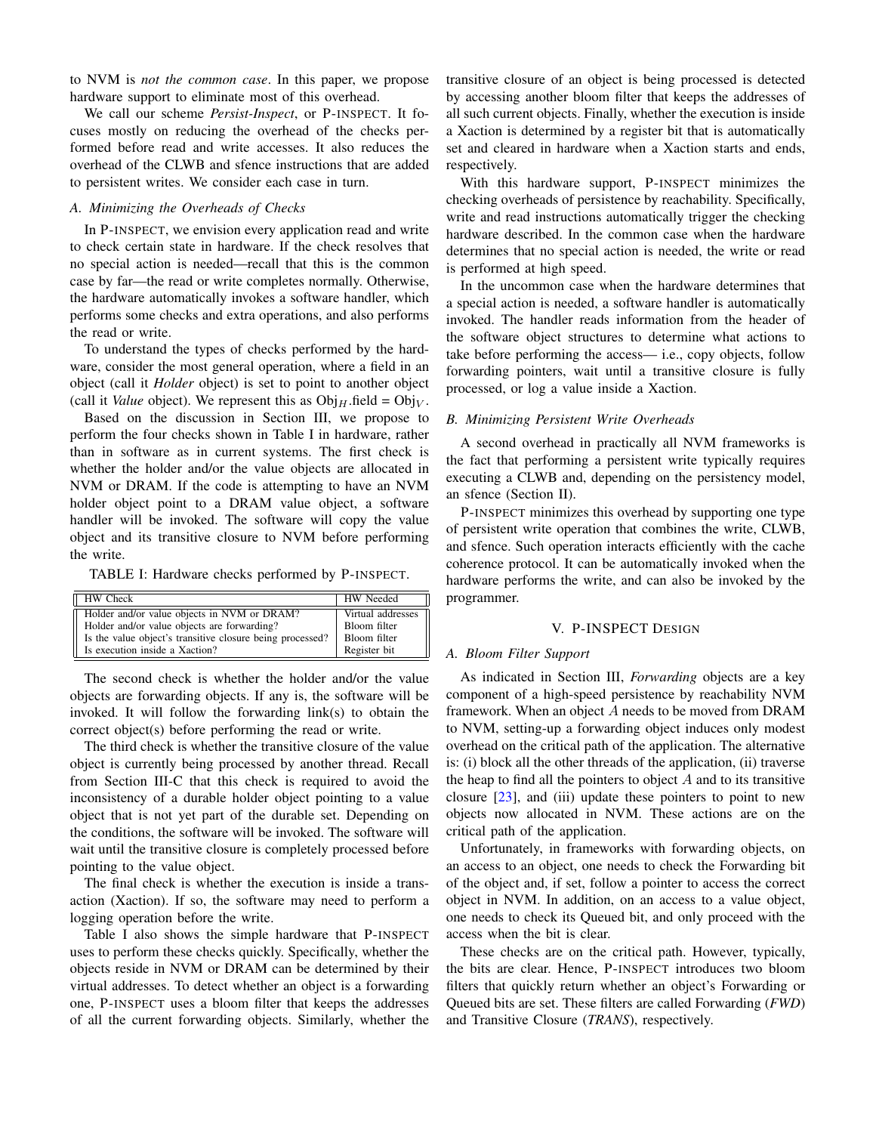to NVM is *not the common case*. In this paper, we propose hardware support to eliminate most of this overhead.

We call our scheme *Persist-Inspect*, or P-INSPECT. It focuses mostly on reducing the overhead of the checks performed before read and write accesses. It also reduces the overhead of the CLWB and sfence instructions that are added to persistent writes. We consider each case in turn.

# *A. Minimizing the Overheads of Checks*

In P-INSPECT, we envision every application read and write to check certain state in hardware. If the check resolves that no special action is needed—recall that this is the common case by far—the read or write completes normally. Otherwise, the hardware automatically invokes a software handler, which performs some checks and extra operations, and also performs the read or write.

To understand the types of checks performed by the hardware, consider the most general operation, where a field in an object (call it *Holder* object) is set to point to another object (call it *Value* object). We represent this as  $Obj_H$ .field =  $Obj_V$ .

Based on the discussion in Section [III,](#page-1-1) we propose to perform the four checks shown in Table [I](#page-3-0) in hardware, rather than in software as in current systems. The first check is whether the holder and/or the value objects are allocated in NVM or DRAM. If the code is attempting to have an NVM holder object point to a DRAM value object, a software handler will be invoked. The software will copy the value object and its transitive closure to NVM before performing the write.

<span id="page-3-0"></span>TABLE I: Hardware checks performed by P-INSPECT.

| <b>HW</b> Check                                           | HW Needed         |
|-----------------------------------------------------------|-------------------|
| Holder and/or value objects in NVM or DRAM?               | Virtual addresses |
| Holder and/or value objects are forwarding?               | Bloom filter      |
| Is the value object's transitive closure being processed? | Bloom filter      |
| Il Is execution inside a Xaction?                         | Register bit      |

The second check is whether the holder and/or the value objects are forwarding objects. If any is, the software will be invoked. It will follow the forwarding link(s) to obtain the correct object(s) before performing the read or write.

The third check is whether the transitive closure of the value object is currently being processed by another thread. Recall from Section [III-C](#page-2-1) that this check is required to avoid the inconsistency of a durable holder object pointing to a value object that is not yet part of the durable set. Depending on the conditions, the software will be invoked. The software will wait until the transitive closure is completely processed before pointing to the value object.

The final check is whether the execution is inside a transaction (Xaction). If so, the software may need to perform a logging operation before the write.

Table [I](#page-3-0) also shows the simple hardware that P-INSPECT uses to perform these checks quickly. Specifically, whether the objects reside in NVM or DRAM can be determined by their virtual addresses. To detect whether an object is a forwarding one, P-INSPECT uses a bloom filter that keeps the addresses of all the current forwarding objects. Similarly, whether the transitive closure of an object is being processed is detected by accessing another bloom filter that keeps the addresses of all such current objects. Finally, whether the execution is inside a Xaction is determined by a register bit that is automatically set and cleared in hardware when a Xaction starts and ends, respectively.

With this hardware support, P-INSPECT minimizes the checking overheads of persistence by reachability. Specifically, write and read instructions automatically trigger the checking hardware described. In the common case when the hardware determines that no special action is needed, the write or read is performed at high speed.

In the uncommon case when the hardware determines that a special action is needed, a software handler is automatically invoked. The handler reads information from the header of the software object structures to determine what actions to take before performing the access— i.e., copy objects, follow forwarding pointers, wait until a transitive closure is fully processed, or log a value inside a Xaction.

#### *B. Minimizing Persistent Write Overheads*

A second overhead in practically all NVM frameworks is the fact that performing a persistent write typically requires executing a CLWB and, depending on the persistency model, an sfence (Section [II\)](#page-1-2).

P-INSPECT minimizes this overhead by supporting one type of persistent write operation that combines the write, CLWB, and sfence. Such operation interacts efficiently with the cache coherence protocol. It can be automatically invoked when the hardware performs the write, and can also be invoked by the programmer.

#### V. P-INSPECT DESIGN

#### <span id="page-3-1"></span>*A. Bloom Filter Support*

As indicated in Section [III,](#page-1-1) *Forwarding* objects are a key component of a high-speed persistence by reachability NVM framework. When an object A needs to be moved from DRAM to NVM, setting-up a forwarding object induces only modest overhead on the critical path of the application. The alternative is: (i) block all the other threads of the application, (ii) traverse the heap to find all the pointers to object  $A$  and to its transitive closure  $[23]$ , and (iii) update these pointers to point to new objects now allocated in NVM. These actions are on the critical path of the application.

Unfortunately, in frameworks with forwarding objects, on an access to an object, one needs to check the Forwarding bit of the object and, if set, follow a pointer to access the correct object in NVM. In addition, on an access to a value object, one needs to check its Queued bit, and only proceed with the access when the bit is clear.

These checks are on the critical path. However, typically, the bits are clear. Hence, P-INSPECT introduces two bloom filters that quickly return whether an object's Forwarding or Queued bits are set. These filters are called Forwarding (*FWD*) and Transitive Closure (*TRANS*), respectively.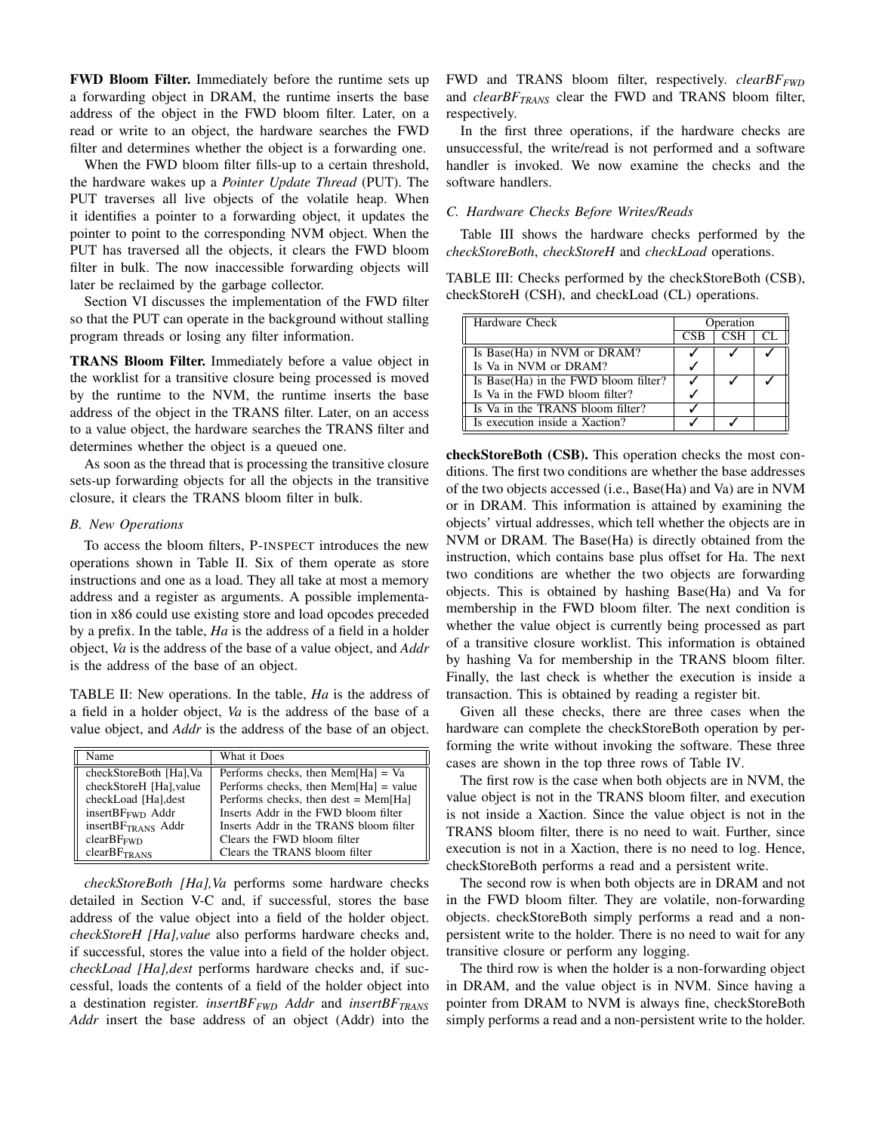FWD Bloom Filter. Immediately before the runtime sets up a forwarding object in DRAM, the runtime inserts the base address of the object in the FWD bloom filter. Later, on a read or write to an object, the hardware searches the FWD filter and determines whether the object is a forwarding one.

When the FWD bloom filter fills-up to a certain threshold, the hardware wakes up a *Pointer Update Thread* (PUT). The PUT traverses all live objects of the volatile heap. When it identifies a pointer to a forwarding object, it updates the pointer to point to the corresponding NVM object. When the PUT has traversed all the objects, it clears the FWD bloom filter in bulk. The now inaccessible forwarding objects will later be reclaimed by the garbage collector.

Section [VI](#page-7-0) discusses the implementation of the FWD filter so that the PUT can operate in the background without stalling program threads or losing any filter information.

TRANS Bloom Filter. Immediately before a value object in the worklist for a transitive closure being processed is moved by the runtime to the NVM, the runtime inserts the base address of the object in the TRANS filter. Later, on an access to a value object, the hardware searches the TRANS filter and determines whether the object is a queued one.

As soon as the thread that is processing the transitive closure sets-up forwarding objects for all the objects in the transitive closure, it clears the TRANS bloom filter in bulk.

#### *B. New Operations*

To access the bloom filters, P-INSPECT introduces the new operations shown in Table [II.](#page-4-0) Six of them operate as store instructions and one as a load. They all take at most a memory address and a register as arguments. A possible implementation in x86 could use existing store and load opcodes preceded by a prefix. In the table, *Ha* is the address of a field in a holder object, *Va* is the address of the base of a value object, and *Addr* is the address of the base of an object.

<span id="page-4-0"></span>TABLE II: New operations. In the table, *Ha* is the address of a field in a holder object, *Va* is the address of the base of a value object, and *Addr* is the address of the base of an object.

| Name                                 | What it Does                            |
|--------------------------------------|-----------------------------------------|
| checkStoreBoth [Ha], Va              | Performs checks, then $Mem[Ha] = Va$    |
| checkStoreH [Ha], value              | Performs checks, then $Mem[Ha] = value$ |
| checkLoad [Ha], dest                 | Performs checks, then dest $=$ Mem[Ha]  |
| insert $BF_{\text{FWD}}$ Addr        | Inserts Addr in the FWD bloom filter    |
| insert $BF_{TRANS}$ Addr             | Inserts Addr in the TRANS bloom filter  |
| clearBF <sub>FWD</sub>               | Clears the FWD bloom filter             |
| clearBF <sub>TR</sub> <sub>ANS</sub> | Clears the TRANS bloom filter           |

*checkStoreBoth [Ha],Va* performs some hardware checks detailed in Section [V-C](#page-4-1) and, if successful, stores the base address of the value object into a field of the holder object. *checkStoreH [Ha],value* also performs hardware checks and, if successful, stores the value into a field of the holder object. *checkLoad [Ha],dest* performs hardware checks and, if successful, loads the contents of a field of the holder object into a destination register. *insertBFFWD Addr* and *insertBFTRANS Addr* insert the base address of an object (Addr) into the FWD and TRANS bloom filter, respectively. *clearBFFWD* and *clearBFTRANS* clear the FWD and TRANS bloom filter, respectively.

In the first three operations, if the hardware checks are unsuccessful, the write/read is not performed and a software handler is invoked. We now examine the checks and the software handlers.

# <span id="page-4-1"></span>*C. Hardware Checks Before Writes/Reads*

Table [III](#page-4-2) shows the hardware checks performed by the *checkStoreBoth*, *checkStoreH* and *checkLoad* operations.

<span id="page-4-2"></span>TABLE III: Checks performed by the checkStoreBoth (CSB), checkStoreH (CSH), and checkLoad (CL) operations.

| Hardware Check                       |            | Operation  |  |
|--------------------------------------|------------|------------|--|
|                                      | <b>CSB</b> | <b>CSH</b> |  |
| Is Base(Ha) in NVM or DRAM?          |            |            |  |
| Is Va in NVM or DRAM?                |            |            |  |
| Is Base(Ha) in the FWD bloom filter? |            |            |  |
| Is Va in the FWD bloom filter?       |            |            |  |
| Is Va in the TRANS bloom filter?     |            |            |  |
| Is execution inside a Xaction?       |            |            |  |

checkStoreBoth (CSB). This operation checks the most conditions. The first two conditions are whether the base addresses of the two objects accessed (i.e., Base(Ha) and Va) are in NVM or in DRAM. This information is attained by examining the objects' virtual addresses, which tell whether the objects are in NVM or DRAM. The Base(Ha) is directly obtained from the instruction, which contains base plus offset for Ha. The next two conditions are whether the two objects are forwarding objects. This is obtained by hashing Base(Ha) and Va for membership in the FWD bloom filter. The next condition is whether the value object is currently being processed as part of a transitive closure worklist. This information is obtained by hashing Va for membership in the TRANS bloom filter. Finally, the last check is whether the execution is inside a transaction. This is obtained by reading a register bit.

Given all these checks, there are three cases when the hardware can complete the checkStoreBoth operation by performing the write without invoking the software. These three cases are shown in the top three rows of Table [IV.](#page-5-0)

The first row is the case when both objects are in NVM, the value object is not in the TRANS bloom filter, and execution is not inside a Xaction. Since the value object is not in the TRANS bloom filter, there is no need to wait. Further, since execution is not in a Xaction, there is no need to log. Hence, checkStoreBoth performs a read and a persistent write.

The second row is when both objects are in DRAM and not in the FWD bloom filter. They are volatile, non-forwarding objects. checkStoreBoth simply performs a read and a nonpersistent write to the holder. There is no need to wait for any transitive closure or perform any logging.

The third row is when the holder is a non-forwarding object in DRAM, and the value object is in NVM. Since having a pointer from DRAM to NVM is always fine, checkStoreBoth simply performs a read and a non-persistent write to the holder.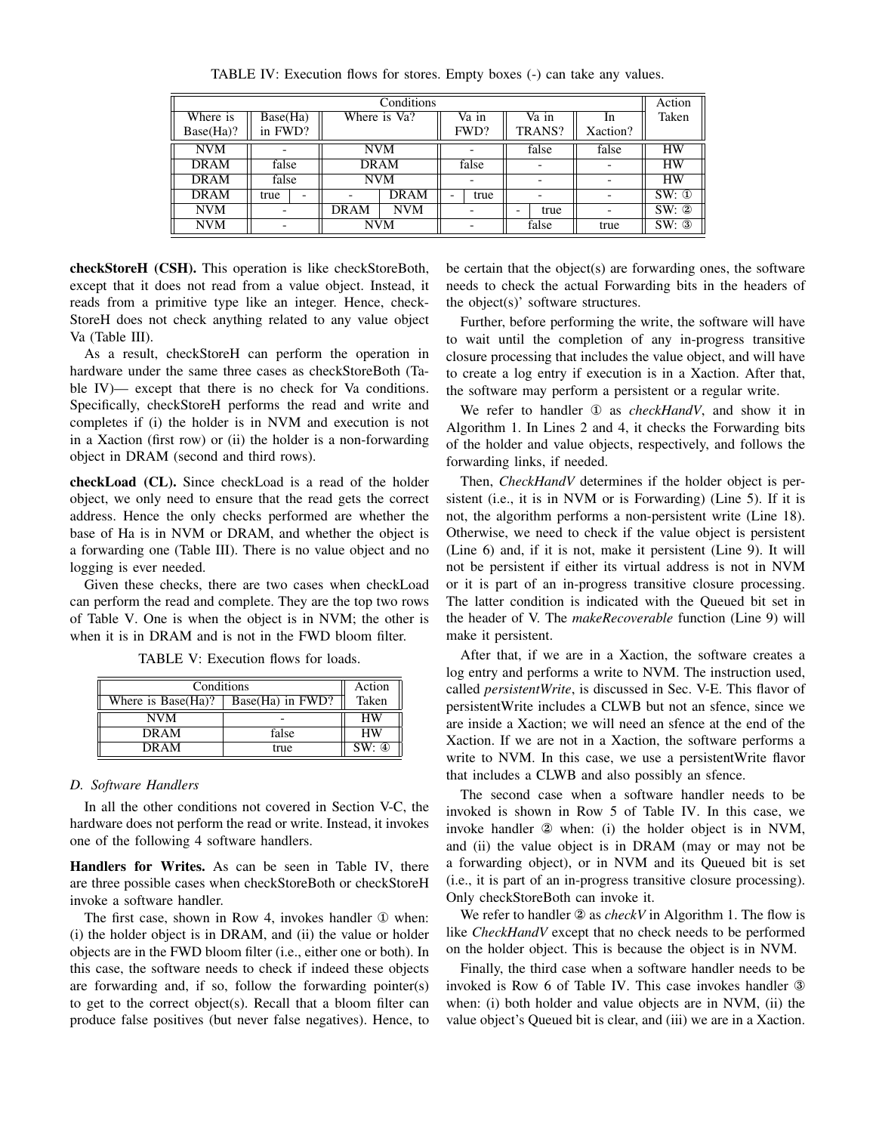<span id="page-5-0"></span>

| Conditions  |                                     |      |              |  | Action |   |        |          |            |
|-------------|-------------------------------------|------|--------------|--|--------|---|--------|----------|------------|
| Where is    | $\overline{\text{Base}(\text{Ha})}$ |      | Where is Va? |  | Va in  |   | Va in  | In.      | Taken      |
| Base(Ha)?   | in FWD?                             |      |              |  | FWD?   |   | TRANS? | Xaction? |            |
| <b>NVM</b>  |                                     |      | <b>NVM</b>   |  |        |   | false  | false    | <b>HW</b>  |
| <b>DRAM</b> | false                               |      | <b>DRAM</b>  |  | false  |   |        |          | <b>HW</b>  |
| <b>DRAM</b> | false                               |      | <b>NVM</b>   |  |        |   |        |          | <b>HW</b>  |
| <b>DRAM</b> | true<br>$\overline{\phantom{0}}$    |      | <b>DRAM</b>  |  | true   |   |        |          | $SW: \Phi$ |
| <b>NVM</b>  |                                     | DRAM | <b>NVM</b>   |  |        | - | true   |          | SW: 2      |
| <b>NVM</b>  |                                     |      | <b>NVM</b>   |  |        |   | false  | true     | SW: 3      |

TABLE IV: Execution flows for stores. Empty boxes (-) can take any values.

checkStoreH (CSH). This operation is like checkStoreBoth, except that it does not read from a value object. Instead, it reads from a primitive type like an integer. Hence, check-StoreH does not check anything related to any value object Va (Table [III\)](#page-4-2).

As a result, checkStoreH can perform the operation in hardware under the same three cases as checkStoreBoth (Table [IV\)](#page-5-0)— except that there is no check for Va conditions. Specifically, checkStoreH performs the read and write and completes if (i) the holder is in NVM and execution is not in a Xaction (first row) or (ii) the holder is a non-forwarding object in DRAM (second and third rows).

checkLoad (CL). Since checkLoad is a read of the holder object, we only need to ensure that the read gets the correct address. Hence the only checks performed are whether the base of Ha is in NVM or DRAM, and whether the object is a forwarding one (Table [III\)](#page-4-2). There is no value object and no logging is ever needed.

Given these checks, there are two cases when checkLoad can perform the read and complete. They are the top two rows of Table [V.](#page-5-1) One is when the object is in NVM; the other is when it is in DRAM and is not in the FWD bloom filter.

<span id="page-5-1"></span>

| Conditions                                   | Action |           |
|----------------------------------------------|--------|-----------|
| Where is $Base(Ha)?$<br>$Base(Ha)$ in $FWD?$ |        | Taken     |
| NVM                                          |        | <b>HW</b> |
| <b>DRAM</b>                                  | false  | <b>HW</b> |
| <b>DRAM</b>                                  | true   | SW: 4     |

TABLE V: Execution flows for loads.

#### *D. Software Handlers*

In all the other conditions not covered in Section [V-C,](#page-4-1) the hardware does not perform the read or write. Instead, it invokes one of the following 4 software handlers.

Handlers for Writes. As can be seen in Table [IV,](#page-5-0) there are three possible cases when checkStoreBoth or checkStoreH invoke a software handler.

The first case, shown in Row 4, invokes handler ① when: (i) the holder object is in DRAM, and (ii) the value or holder objects are in the FWD bloom filter (i.e., either one or both). In this case, the software needs to check if indeed these objects are forwarding and, if so, follow the forwarding pointer(s) to get to the correct object(s). Recall that a bloom filter can produce false positives (but never false negatives). Hence, to

be certain that the object(s) are forwarding ones, the software needs to check the actual Forwarding bits in the headers of the object(s)' software structures.

Further, before performing the write, the software will have to wait until the completion of any in-progress transitive closure processing that includes the value object, and will have to create a log entry if execution is in a Xaction. After that, the software may perform a persistent or a regular write.

We refer to handler ① as *checkHandV*, and show it in Algorithm [1.](#page-6-0) In Lines 2 and 4, it checks the Forwarding bits of the holder and value objects, respectively, and follows the forwarding links, if needed.

Then, *CheckHandV* determines if the holder object is persistent (i.e., it is in NVM or is Forwarding) (Line 5). If it is not, the algorithm performs a non-persistent write (Line 18). Otherwise, we need to check if the value object is persistent (Line 6) and, if it is not, make it persistent (Line 9). It will not be persistent if either its virtual address is not in NVM or it is part of an in-progress transitive closure processing. The latter condition is indicated with the Queued bit set in the header of V. The *makeRecoverable* function (Line 9) will make it persistent.

After that, if we are in a Xaction, the software creates a log entry and performs a write to NVM. The instruction used, called *persistentWrite*, is discussed in Sec. [V-E.](#page-6-1) This flavor of persistentWrite includes a CLWB but not an sfence, since we are inside a Xaction; we will need an sfence at the end of the Xaction. If we are not in a Xaction, the software performs a write to NVM. In this case, we use a persistentWrite flavor that includes a CLWB and also possibly an sfence.

The second case when a software handler needs to be invoked is shown in Row 5 of Table [IV.](#page-5-0) In this case, we invoke handler ② when: (i) the holder object is in NVM, and (ii) the value object is in DRAM (may or may not be a forwarding object), or in NVM and its Queued bit is set (i.e., it is part of an in-progress transitive closure processing). Only checkStoreBoth can invoke it.

We refer to handler ② as *checkV* in Algorithm [1.](#page-6-0) The flow is like *CheckHandV* except that no check needs to be performed on the holder object. This is because the object is in NVM.

Finally, the third case when a software handler needs to be invoked is Row 6 of Table [IV.](#page-5-0) This case invokes handler ③ when: (i) both holder and value objects are in NVM, (ii) the value object's Queued bit is clear, and (iii) we are in a Xaction.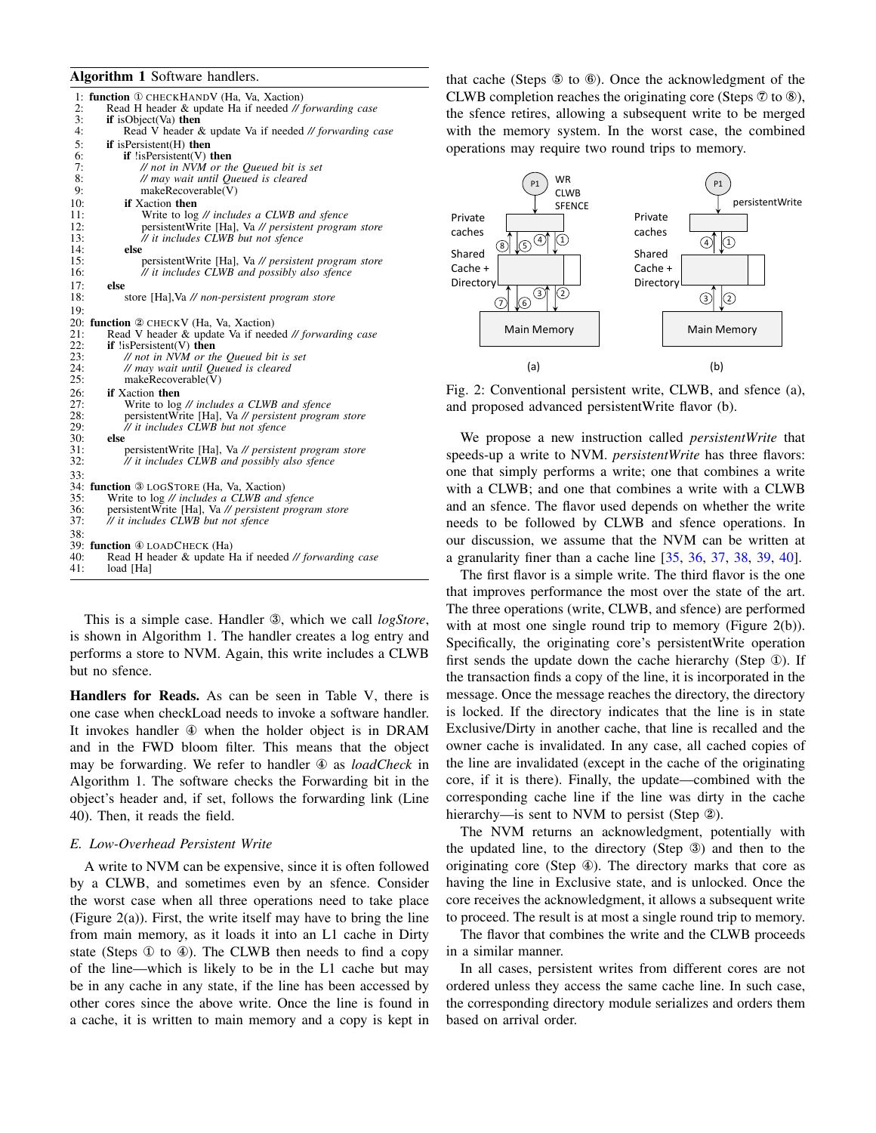#### <span id="page-6-0"></span>Algorithm 1 Software handlers.

|     | 1: function <b>1</b> CHECKHANDV (Ha, Va, Xaction)      |
|-----|--------------------------------------------------------|
| 2:  | Read H header & update Ha if needed // forwarding case |
| 3:  | <b>if</b> is Object $(Va)$ then                        |
| 4:  | Read V header & update Va if needed // forwarding case |
| 5:  | $if$ is Persistent $(H)$ then                          |
| 6:  | $if$ !is $Persistent(V)$ then                          |
| 7:  | // not in NVM or the Queued bit is set                 |
| 8:  | // may wait until Queued is cleared                    |
| 9:  | makeRecoverable(V)                                     |
| 10: | <b>if</b> Xaction then                                 |
| 11: | Write to log // includes a CLWB and sfence             |
| 12: | persistentWrite [Ha], Va // persistent program store   |
| 13: | // it includes CLWB but not sfence                     |
| 14: | else                                                   |
| 15: | persistentWrite [Ha], Va // persistent program store   |
| 16: | // it includes CLWB and possibly also sfence           |
|     |                                                        |
| 17: | else                                                   |
| 18: | store [Ha], Va // non-persistent program store         |
| 19: |                                                        |
|     | 20: function @ CHECKV (Ha, Va, Xaction)                |
| 21: | Read V header & update Va if needed // forwarding case |
| 22: | $if$ !is Persistent(V) then                            |
| 23: | // not in NVM or the Queued bit is set                 |
| 24: | // may wait until Queued is cleared                    |
| 25: | makeRecoverable(V)                                     |
|     |                                                        |
| 26: | if Xaction then                                        |
| 27: | Write to log // includes a CLWB and sfence             |
| 28: | persistentWrite [Ha], Va // persistent program store   |
| 29: | // it includes CLWB but not sfence                     |
| 30: | else                                                   |
| 31: | persistentWrite [Ha], Va // persistent program store   |
| 32: | // it includes CLWB and possibly also sfence           |
| 33: |                                                        |
|     | 34: function <b>3</b> LOGSTORE (Ha, Va, Xaction)       |
| 35: | Write to log // includes a CLWB and sfence             |
| 36: | persistentWrite [Ha], Va // persistent program store   |
| 37: | // it includes CLWB but not sfence                     |
|     |                                                        |
| 38: |                                                        |
|     | 39: function 4 LOADCHECK (Ha)                          |
| 40: | Read H header & update Ha if needed // forwarding case |
| 41: | load [Ha]                                              |
|     |                                                        |

This is a simple case. Handler ③, which we call *logStore*, is shown in Algorithm [1.](#page-6-0) The handler creates a log entry and performs a store to NVM. Again, this write includes a CLWB but no sfence.

Handlers for Reads. As can be seen in Table [V,](#page-5-1) there is one case when checkLoad needs to invoke a software handler. It invokes handler ④ when the holder object is in DRAM and in the FWD bloom filter. This means that the object may be forwarding. We refer to handler ④ as *loadCheck* in Algorithm [1.](#page-6-0) The software checks the Forwarding bit in the object's header and, if set, follows the forwarding link (Line 40). Then, it reads the field.

#### <span id="page-6-1"></span>*E. Low-Overhead Persistent Write*

A write to NVM can be expensive, since it is often followed by a CLWB, and sometimes even by an sfence. Consider the worst case when all three operations need to take place (Figure  $2(a)$  $2(a)$ ). First, the write itself may have to bring the line from main memory, as it loads it into an L1 cache in Dirty state (Steps ① to ④). The CLWB then needs to find a copy of the line—which is likely to be in the L1 cache but may be in any cache in any state, if the line has been accessed by other cores since the above write. Once the line is found in a cache, it is written to main memory and a copy is kept in that cache (Steps ⑤ to ⑥). Once the acknowledgment of the CLWB completion reaches the originating core (Steps  $\mathcal D$  to  $\mathcal D$ ), the sfence retires, allowing a subsequent write to be merged with the memory system. In the worst case, the combined operations may require two round trips to memory.

<span id="page-6-2"></span>

Fig. 2: Conventional persistent write, CLWB, and sfence (a), and proposed advanced persistentWrite flavor (b).

We propose a new instruction called *persistentWrite* that speeds-up a write to NVM. *persistentWrite* has three flavors: one that simply performs a write; one that combines a write with a CLWB; and one that combines a write with a CLWB and an sfence. The flavor used depends on whether the write needs to be followed by CLWB and sfence operations. In our discussion, we assume that the NVM can be written at a granularity finer than a cache line [\[35,](#page-13-29) [36,](#page-13-30) [37,](#page-13-31) [38,](#page-14-0) [39,](#page-14-1) [40\]](#page-14-2).

The first flavor is a simple write. The third flavor is the one that improves performance the most over the state of the art. The three operations (write, CLWB, and sfence) are performed with at most one single round trip to memory (Figure [2\(](#page-6-2)b)). Specifically, the originating core's persistentWrite operation first sends the update down the cache hierarchy (Step ①). If the transaction finds a copy of the line, it is incorporated in the message. Once the message reaches the directory, the directory is locked. If the directory indicates that the line is in state Exclusive/Dirty in another cache, that line is recalled and the owner cache is invalidated. In any case, all cached copies of the line are invalidated (except in the cache of the originating core, if it is there). Finally, the update—combined with the corresponding cache line if the line was dirty in the cache hierarchy—is sent to NVM to persist (Step ②).

The NVM returns an acknowledgment, potentially with the updated line, to the directory (Step ③) and then to the originating core (Step ④). The directory marks that core as having the line in Exclusive state, and is unlocked. Once the core receives the acknowledgment, it allows a subsequent write to proceed. The result is at most a single round trip to memory.

The flavor that combines the write and the CLWB proceeds in a similar manner.

In all cases, persistent writes from different cores are not ordered unless they access the same cache line. In such case, the corresponding directory module serializes and orders them based on arrival order.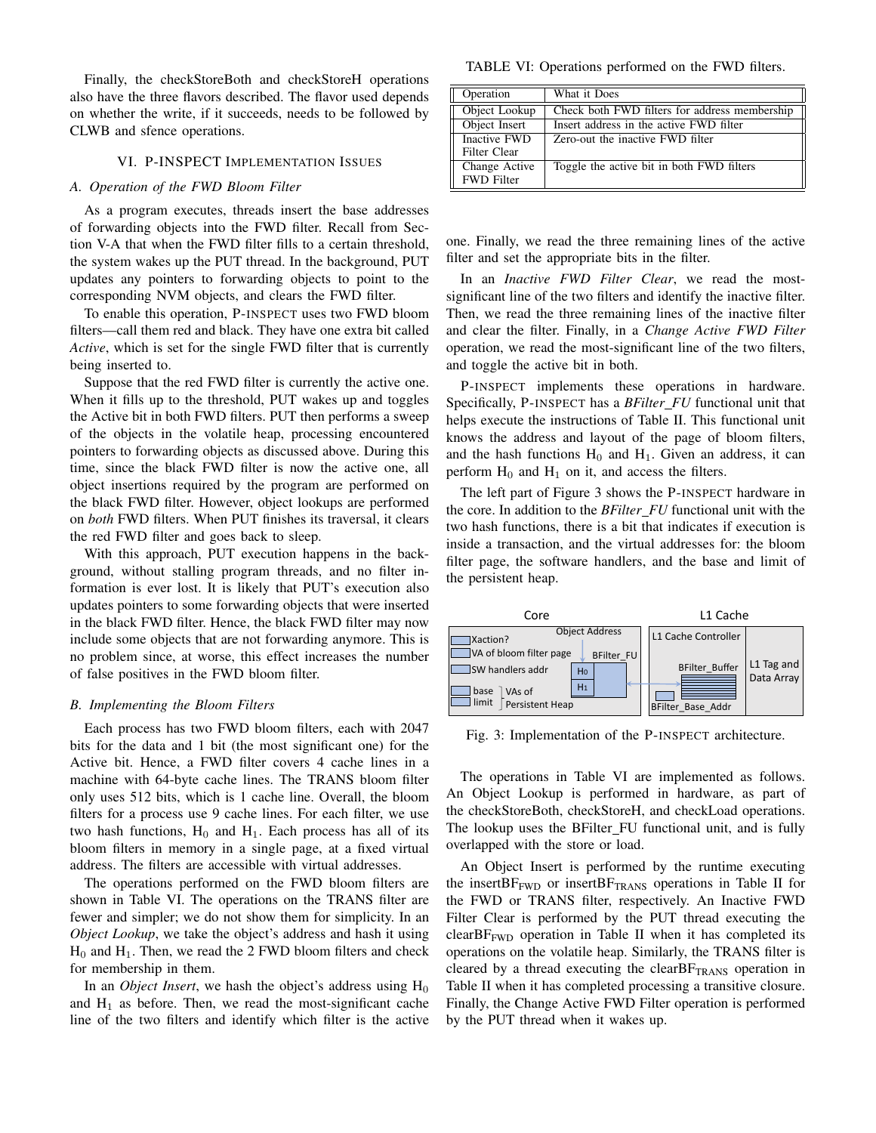Finally, the checkStoreBoth and checkStoreH operations also have the three flavors described. The flavor used depends on whether the write, if it succeeds, needs to be followed by CLWB and sfence operations.

#### VI. P-INSPECT IMPLEMENTATION ISSUES

#### <span id="page-7-0"></span>*A. Operation of the FWD Bloom Filter*

As a program executes, threads insert the base addresses of forwarding objects into the FWD filter. Recall from Section [V-A](#page-3-1) that when the FWD filter fills to a certain threshold, the system wakes up the PUT thread. In the background, PUT updates any pointers to forwarding objects to point to the corresponding NVM objects, and clears the FWD filter.

To enable this operation, P-INSPECT uses two FWD bloom filters—call them red and black. They have one extra bit called *Active*, which is set for the single FWD filter that is currently being inserted to.

Suppose that the red FWD filter is currently the active one. When it fills up to the threshold, PUT wakes up and toggles the Active bit in both FWD filters. PUT then performs a sweep of the objects in the volatile heap, processing encountered pointers to forwarding objects as discussed above. During this time, since the black FWD filter is now the active one, all object insertions required by the program are performed on the black FWD filter. However, object lookups are performed on *both* FWD filters. When PUT finishes its traversal, it clears the red FWD filter and goes back to sleep.

With this approach, PUT execution happens in the background, without stalling program threads, and no filter information is ever lost. It is likely that PUT's execution also updates pointers to some forwarding objects that were inserted in the black FWD filter. Hence, the black FWD filter may now include some objects that are not forwarding anymore. This is no problem since, at worse, this effect increases the number of false positives in the FWD bloom filter.

#### *B. Implementing the Bloom Filters*

Each process has two FWD bloom filters, each with 2047 bits for the data and 1 bit (the most significant one) for the Active bit. Hence, a FWD filter covers 4 cache lines in a machine with 64-byte cache lines. The TRANS bloom filter only uses 512 bits, which is 1 cache line. Overall, the bloom filters for a process use 9 cache lines. For each filter, we use two hash functions,  $H_0$  and  $H_1$ . Each process has all of its bloom filters in memory in a single page, at a fixed virtual address. The filters are accessible with virtual addresses.

The operations performed on the FWD bloom filters are shown in Table [VI.](#page-7-1) The operations on the TRANS filter are fewer and simpler; we do not show them for simplicity. In an *Object Lookup*, we take the object's address and hash it using  $H_0$  and  $H_1$ . Then, we read the 2 FWD bloom filters and check for membership in them.

In an *Object Insert*, we hash the object's address using  $H_0$ and  $H_1$  as before. Then, we read the most-significant cache line of the two filters and identify which filter is the active

<span id="page-7-1"></span>

| Operation                          | What it Does                                  |
|------------------------------------|-----------------------------------------------|
| Object Lookup                      | Check both FWD filters for address membership |
| Object Insert                      | Insert address in the active FWD filter       |
| Inactive FWD<br>Filter Clear       | Zero-out the inactive FWD filter              |
|                                    |                                               |
| Change Active<br><b>FWD</b> Filter | Toggle the active bit in both FWD filters     |

one. Finally, we read the three remaining lines of the active filter and set the appropriate bits in the filter.

In an *Inactive FWD Filter Clear*, we read the mostsignificant line of the two filters and identify the inactive filter. Then, we read the three remaining lines of the inactive filter and clear the filter. Finally, in a *Change Active FWD Filter* operation, we read the most-significant line of the two filters, and toggle the active bit in both.

P-INSPECT implements these operations in hardware. Specifically, P-INSPECT has a *BFilter FU* functional unit that helps execute the instructions of Table [II.](#page-4-0) This functional unit knows the address and layout of the page of bloom filters, and the hash functions  $H_0$  and  $H_1$ . Given an address, it can perform  $H_0$  and  $H_1$  on it, and access the filters.

The left part of Figure [3](#page-7-2) shows the P-INSPECT hardware in the core. In addition to the *BFilter FU* functional unit with the two hash functions, there is a bit that indicates if execution is inside a transaction, and the virtual addresses for: the bloom filter page, the software handlers, and the base and limit of the persistent heap.

<span id="page-7-2"></span>

Fig. 3: Implementation of the P-INSPECT architecture.

The operations in Table [VI](#page-7-1) are implemented as follows. An Object Lookup is performed in hardware, as part of the checkStoreBoth, checkStoreH, and checkLoad operations. The lookup uses the BFilter FU functional unit, and is fully overlapped with the store or load.

An Object Insert is performed by the runtime executing the insert $BF_{FWD}$  or insert $BF_{TRANS}$  operations in Table [II](#page-4-0) for the FWD or TRANS filter, respectively. An Inactive FWD Filter Clear is performed by the PUT thread executing the clearBF<sub>FWD</sub> operation in Table [II](#page-4-0) when it has completed its operations on the volatile heap. Similarly, the TRANS filter is cleared by a thread executing the clear  $BF_{TRANS}$  operation in Table [II](#page-4-0) when it has completed processing a transitive closure. Finally, the Change Active FWD Filter operation is performed by the PUT thread when it wakes up.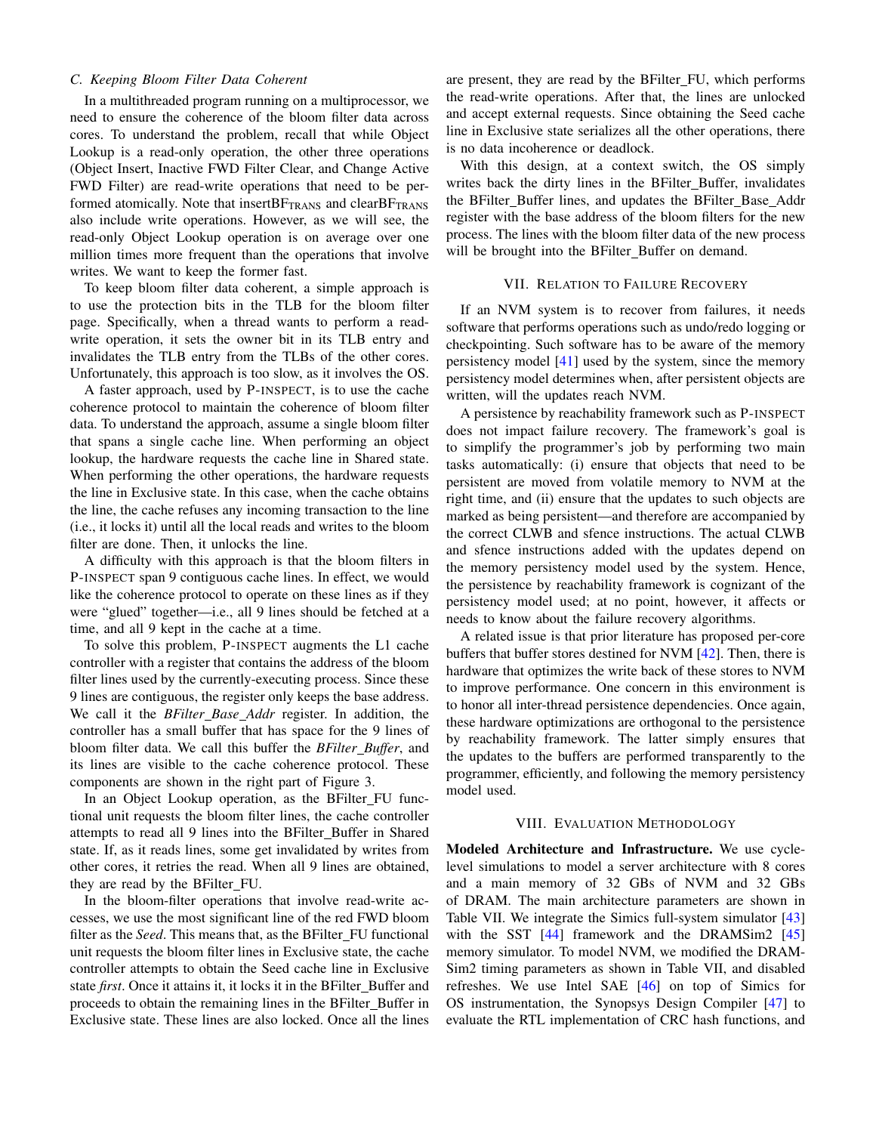# *C. Keeping Bloom Filter Data Coherent*

In a multithreaded program running on a multiprocessor, we need to ensure the coherence of the bloom filter data across cores. To understand the problem, recall that while Object Lookup is a read-only operation, the other three operations (Object Insert, Inactive FWD Filter Clear, and Change Active FWD Filter) are read-write operations that need to be performed atomically. Note that insert $BF_{\text{TRANS}}$  and clear $BF_{\text{TRANS}}$ also include write operations. However, as we will see, the read-only Object Lookup operation is on average over one million times more frequent than the operations that involve writes. We want to keep the former fast.

To keep bloom filter data coherent, a simple approach is to use the protection bits in the TLB for the bloom filter page. Specifically, when a thread wants to perform a readwrite operation, it sets the owner bit in its TLB entry and invalidates the TLB entry from the TLBs of the other cores. Unfortunately, this approach is too slow, as it involves the OS.

A faster approach, used by P-INSPECT, is to use the cache coherence protocol to maintain the coherence of bloom filter data. To understand the approach, assume a single bloom filter that spans a single cache line. When performing an object lookup, the hardware requests the cache line in Shared state. When performing the other operations, the hardware requests the line in Exclusive state. In this case, when the cache obtains the line, the cache refuses any incoming transaction to the line (i.e., it locks it) until all the local reads and writes to the bloom filter are done. Then, it unlocks the line.

A difficulty with this approach is that the bloom filters in P-INSPECT span 9 contiguous cache lines. In effect, we would like the coherence protocol to operate on these lines as if they were "glued" together—i.e., all 9 lines should be fetched at a time, and all 9 kept in the cache at a time.

To solve this problem, P-INSPECT augments the L1 cache controller with a register that contains the address of the bloom filter lines used by the currently-executing process. Since these 9 lines are contiguous, the register only keeps the base address. We call it the *BFilter Base Addr* register. In addition, the controller has a small buffer that has space for the 9 lines of bloom filter data. We call this buffer the *BFilter Buffer*, and its lines are visible to the cache coherence protocol. These components are shown in the right part of Figure [3.](#page-7-2)

In an Object Lookup operation, as the BFilter FU functional unit requests the bloom filter lines, the cache controller attempts to read all 9 lines into the BFilter\_Buffer in Shared state. If, as it reads lines, some get invalidated by writes from other cores, it retries the read. When all 9 lines are obtained, they are read by the BFilter FU.

In the bloom-filter operations that involve read-write accesses, we use the most significant line of the red FWD bloom filter as the *Seed*. This means that, as the BFilter\_FU functional unit requests the bloom filter lines in Exclusive state, the cache controller attempts to obtain the Seed cache line in Exclusive state *first*. Once it attains it, it locks it in the BFilter Buffer and proceeds to obtain the remaining lines in the BFilter Buffer in Exclusive state. These lines are also locked. Once all the lines are present, they are read by the BFilter\_FU, which performs the read-write operations. After that, the lines are unlocked and accept external requests. Since obtaining the Seed cache line in Exclusive state serializes all the other operations, there is no data incoherence or deadlock.

With this design, at a context switch, the OS simply writes back the dirty lines in the BFilter\_Buffer, invalidates the BFilter Buffer lines, and updates the BFilter Base Addr register with the base address of the bloom filters for the new process. The lines with the bloom filter data of the new process will be brought into the BFilter\_Buffer on demand.

#### VII. RELATION TO FAILURE RECOVERY

If an NVM system is to recover from failures, it needs software that performs operations such as undo/redo logging or checkpointing. Such software has to be aware of the memory persistency model [\[41\]](#page-14-3) used by the system, since the memory persistency model determines when, after persistent objects are written, will the updates reach NVM.

A persistence by reachability framework such as P-INSPECT does not impact failure recovery. The framework's goal is to simplify the programmer's job by performing two main tasks automatically: (i) ensure that objects that need to be persistent are moved from volatile memory to NVM at the right time, and (ii) ensure that the updates to such objects are marked as being persistent—and therefore are accompanied by the correct CLWB and sfence instructions. The actual CLWB and sfence instructions added with the updates depend on the memory persistency model used by the system. Hence, the persistence by reachability framework is cognizant of the persistency model used; at no point, however, it affects or needs to know about the failure recovery algorithms.

A related issue is that prior literature has proposed per-core buffers that buffer stores destined for NVM [\[42\]](#page-14-4). Then, there is hardware that optimizes the write back of these stores to NVM to improve performance. One concern in this environment is to honor all inter-thread persistence dependencies. Once again, these hardware optimizations are orthogonal to the persistence by reachability framework. The latter simply ensures that the updates to the buffers are performed transparently to the programmer, efficiently, and following the memory persistency model used.

#### VIII. EVALUATION METHODOLOGY

Modeled Architecture and Infrastructure. We use cyclelevel simulations to model a server architecture with 8 cores and a main memory of 32 GBs of NVM and 32 GBs of DRAM. The main architecture parameters are shown in Table [VII.](#page-9-1) We integrate the Simics full-system simulator [\[43\]](#page-14-5) with the SST  $[44]$  framework and the DRAMSim2  $[45]$ memory simulator. To model NVM, we modified the DRAM-Sim2 timing parameters as shown in Table [VII,](#page-9-1) and disabled refreshes. We use Intel SAE [\[46\]](#page-14-8) on top of Simics for OS instrumentation, the Synopsys Design Compiler [\[47\]](#page-14-9) to evaluate the RTL implementation of CRC hash functions, and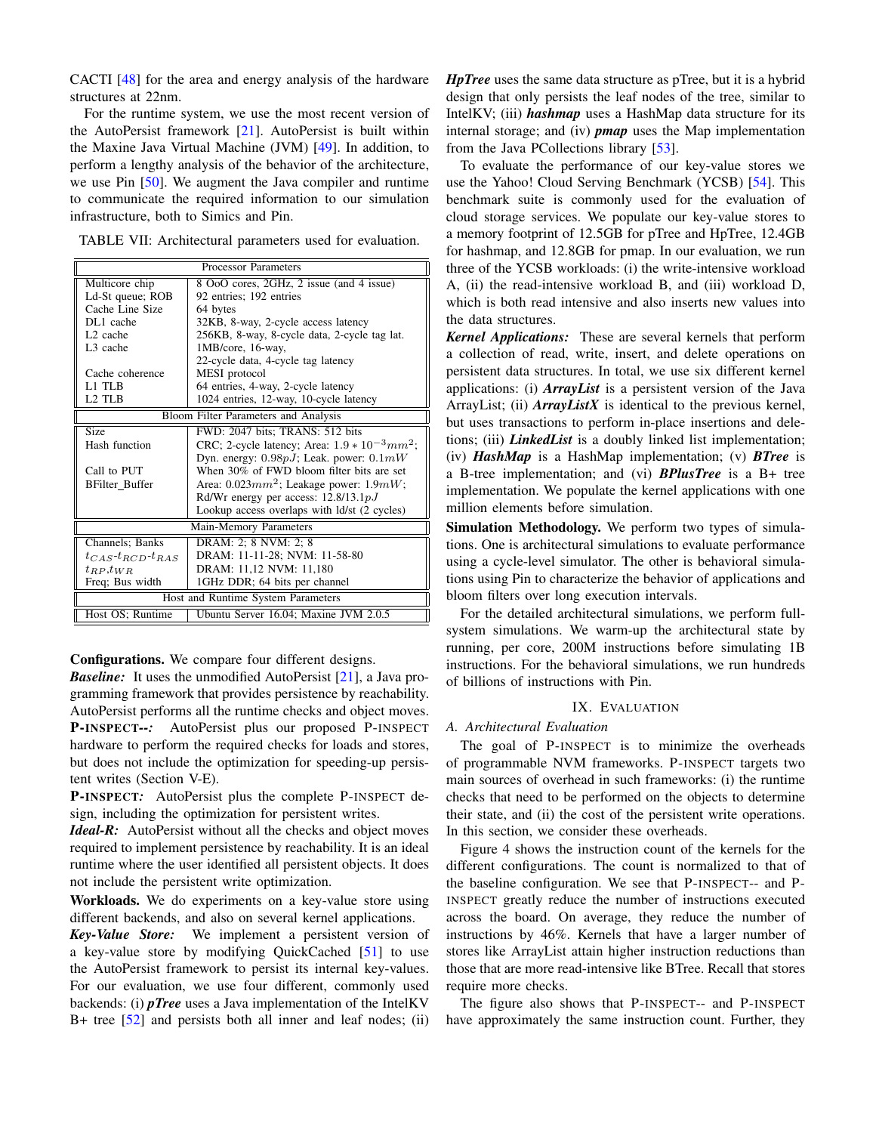CACTI [\[48\]](#page-14-10) for the area and energy analysis of the hardware structures at 22nm.

For the runtime system, we use the most recent version of the AutoPersist framework [\[21\]](#page-13-15). AutoPersist is built within the Maxine Java Virtual Machine (JVM) [\[49\]](#page-14-11). In addition, to perform a lengthy analysis of the behavior of the architecture, we use Pin [\[50\]](#page-14-12). We augment the Java compiler and runtime to communicate the required information to our simulation infrastructure, both to Simics and Pin.

<span id="page-9-1"></span>

| TABLE VII: Architectural parameters used for evaluation. |  |  |  |
|----------------------------------------------------------|--|--|--|
|----------------------------------------------------------|--|--|--|

| <b>Processor Parameters</b>                                |                                                    |  |  |  |
|------------------------------------------------------------|----------------------------------------------------|--|--|--|
| 8 OoO cores, 2GHz, 2 issue (and 4 issue)<br>Multicore chip |                                                    |  |  |  |
| Ld-St queue; ROB                                           | 92 entries; 192 entries                            |  |  |  |
| Cache Line Size                                            | 64 bytes                                           |  |  |  |
| DL1 cache                                                  | 32KB, 8-way, 2-cycle access latency                |  |  |  |
| L <sub>2</sub> cache                                       | 256KB, 8-way, 8-cycle data, 2-cycle tag lat.       |  |  |  |
| L <sub>3</sub> cache                                       | 1MB/core, 16-way,                                  |  |  |  |
|                                                            | 22-cycle data, 4-cycle tag latency                 |  |  |  |
| Cache coherence                                            | MESI protocol                                      |  |  |  |
| L1 TLB                                                     | 64 entries, 4-way, 2-cycle latency                 |  |  |  |
| L <sub>2</sub> TLB                                         | 1024 entries, 12-way, 10-cycle latency             |  |  |  |
|                                                            | Bloom Filter Parameters and Analysis               |  |  |  |
| <b>Size</b>                                                | FWD: 2047 bits; TRANS: 512 bits                    |  |  |  |
| Hash function                                              | CRC; 2-cycle latency; Area: $1.9 * 10^{-3} mm^2$ ; |  |  |  |
|                                                            | Dyn. energy: $0.98pJ$ ; Leak. power: $0.1mW$       |  |  |  |
| Call to PUT                                                | When 30% of FWD bloom filter bits are set          |  |  |  |
| <b>BFilter Buffer</b>                                      | Area: $0.023mm^2$ ; Leakage power: $1.9mW$ ;       |  |  |  |
|                                                            | Rd/Wr energy per access: $12.8/13.1 pJ$            |  |  |  |
|                                                            | Lookup access overlaps with ld/st (2 cycles)       |  |  |  |
|                                                            | Main-Memory Parameters                             |  |  |  |
| Channels; Banks                                            | DRAM: 2; 8 NVM: 2; 8                               |  |  |  |
| $t_{CAS}$ - $t_{RCD}$ - $t_{RAS}$                          | DRAM: 11-11-28; NVM: 11-58-80                      |  |  |  |
| $t_{RP}, t_{WR}$                                           | DRAM: 11,12 NVM: 11,180                            |  |  |  |
| Freq; Bus width                                            | 1GHz DDR; 64 bits per channel                      |  |  |  |
|                                                            | Host and Runtime System Parameters                 |  |  |  |
| Host OS; Runtime                                           | Ubuntu Server 16.04; Maxine JVM 2.0.5              |  |  |  |

Configurations. We compare four different designs.

*Baseline:* It uses the unmodified AutoPersist [\[21\]](#page-13-15), a Java programming framework that provides persistence by reachability. AutoPersist performs all the runtime checks and object moves. P-INSPECT*--:* AutoPersist plus our proposed P-INSPECT hardware to perform the required checks for loads and stores, but does not include the optimization for speeding-up persistent writes (Section [V-E\)](#page-6-1).

P-INSPECT*:* AutoPersist plus the complete P-INSPECT design, including the optimization for persistent writes.

*Ideal-R:* AutoPersist without all the checks and object moves required to implement persistence by reachability. It is an ideal runtime where the user identified all persistent objects. It does not include the persistent write optimization.

Workloads. We do experiments on a key-value store using different backends, and also on several kernel applications.

*Key-Value Store:* We implement a persistent version of a key-value store by modifying QuickCached [\[51\]](#page-14-13) to use the AutoPersist framework to persist its internal key-values. For our evaluation, we use four different, commonly used backends: (i) *pTree* uses a Java implementation of the IntelKV B+ tree [\[52\]](#page-14-14) and persists both all inner and leaf nodes; (ii) *HpTree* uses the same data structure as pTree, but it is a hybrid design that only persists the leaf nodes of the tree, similar to IntelKV; (iii) *hashmap* uses a HashMap data structure for its internal storage; and (iv) *pmap* uses the Map implementation from the Java PCollections library [\[53\]](#page-14-15).

To evaluate the performance of our key-value stores we use the Yahoo! Cloud Serving Benchmark (YCSB) [\[54\]](#page-14-16). This benchmark suite is commonly used for the evaluation of cloud storage services. We populate our key-value stores to a memory footprint of 12.5GB for pTree and HpTree, 12.4GB for hashmap, and 12.8GB for pmap. In our evaluation, we run three of the YCSB workloads: (i) the write-intensive workload A, (ii) the read-intensive workload B, and (iii) workload D, which is both read intensive and also inserts new values into the data structures.

*Kernel Applications:* These are several kernels that perform a collection of read, write, insert, and delete operations on persistent data structures. In total, we use six different kernel applications: (i) *ArrayList* is a persistent version of the Java ArrayList; (ii) *ArrayListX* is identical to the previous kernel, but uses transactions to perform in-place insertions and deletions; (iii) *LinkedList* is a doubly linked list implementation; (iv) *HashMap* is a HashMap implementation; (v) *BTree* is a B-tree implementation; and (vi) *BPlusTree* is a B+ tree implementation. We populate the kernel applications with one million elements before simulation.

Simulation Methodology. We perform two types of simulations. One is architectural simulations to evaluate performance using a cycle-level simulator. The other is behavioral simulations using Pin to characterize the behavior of applications and bloom filters over long execution intervals.

For the detailed architectural simulations, we perform fullsystem simulations. We warm-up the architectural state by running, per core, 200M instructions before simulating 1B instructions. For the behavioral simulations, we run hundreds of billions of instructions with Pin.

# IX. EVALUATION

# <span id="page-9-0"></span>*A. Architectural Evaluation*

The goal of P-INSPECT is to minimize the overheads of programmable NVM frameworks. P-INSPECT targets two main sources of overhead in such frameworks: (i) the runtime checks that need to be performed on the objects to determine their state, and (ii) the cost of the persistent write operations. In this section, we consider these overheads.

Figure [4](#page-10-0) shows the instruction count of the kernels for the different configurations. The count is normalized to that of the baseline configuration. We see that P-INSPECT-- and P-INSPECT greatly reduce the number of instructions executed across the board. On average, they reduce the number of instructions by 46%. Kernels that have a larger number of stores like ArrayList attain higher instruction reductions than those that are more read-intensive like BTree. Recall that stores require more checks.

The figure also shows that P-INSPECT-- and P-INSPECT have approximately the same instruction count. Further, they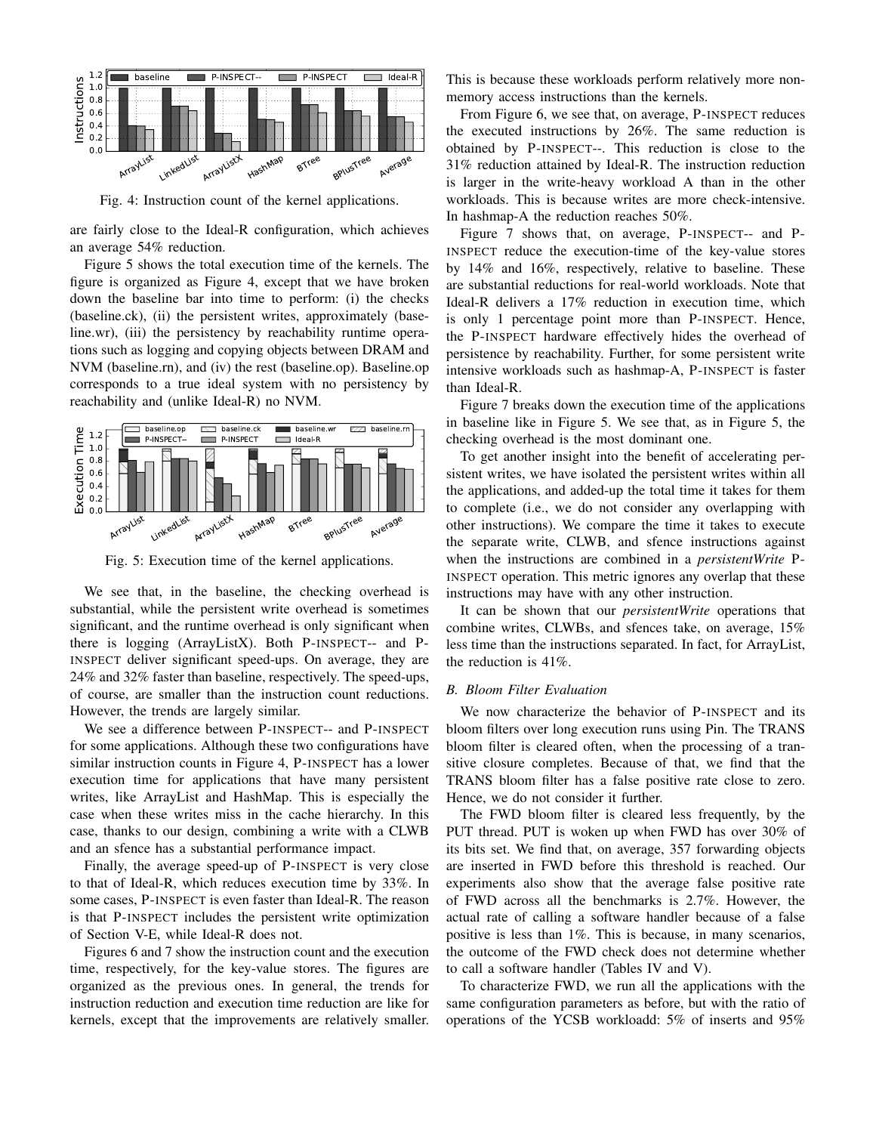<span id="page-10-0"></span>

Fig. 4: Instruction count of the kernel applications.

are fairly close to the Ideal-R configuration, which achieves an average 54% reduction.

Figure [5](#page-10-1) shows the total execution time of the kernels. The figure is organized as Figure [4,](#page-10-0) except that we have broken down the baseline bar into time to perform: (i) the checks (baseline.ck), (ii) the persistent writes, approximately (baseline.wr), (iii) the persistency by reachability runtime operations such as logging and copying objects between DRAM and NVM (baseline.rn), and (iv) the rest (baseline.op). Baseline.op corresponds to a true ideal system with no persistency by reachability and (unlike Ideal-R) no NVM.

<span id="page-10-1"></span>

Fig. 5: Execution time of the kernel applications.

We see that, in the baseline, the checking overhead is substantial, while the persistent write overhead is sometimes significant, and the runtime overhead is only significant when there is logging (ArrayListX). Both P-INSPECT-- and P-INSPECT deliver significant speed-ups. On average, they are 24% and 32% faster than baseline, respectively. The speed-ups, of course, are smaller than the instruction count reductions. However, the trends are largely similar.

We see a difference between P-INSPECT-- and P-INSPECT for some applications. Although these two configurations have similar instruction counts in Figure [4,](#page-10-0) P-INSPECT has a lower execution time for applications that have many persistent writes, like ArrayList and HashMap. This is especially the case when these writes miss in the cache hierarchy. In this case, thanks to our design, combining a write with a CLWB and an sfence has a substantial performance impact.

Finally, the average speed-up of P-INSPECT is very close to that of Ideal-R, which reduces execution time by 33%. In some cases, P-INSPECT is even faster than Ideal-R. The reason is that P-INSPECT includes the persistent write optimization of Section [V-E,](#page-6-1) while Ideal-R does not.

Figures [6](#page-11-0) and [7](#page-11-1) show the instruction count and the execution time, respectively, for the key-value stores. The figures are organized as the previous ones. In general, the trends for instruction reduction and execution time reduction are like for kernels, except that the improvements are relatively smaller. This is because these workloads perform relatively more nonmemory access instructions than the kernels.

From Figure [6,](#page-11-0) we see that, on average, P-INSPECT reduces the executed instructions by 26%. The same reduction is obtained by P-INSPECT--. This reduction is close to the 31% reduction attained by Ideal-R. The instruction reduction is larger in the write-heavy workload A than in the other workloads. This is because writes are more check-intensive. In hashmap-A the reduction reaches 50%.

Figure [7](#page-11-1) shows that, on average, P-INSPECT-- and P-INSPECT reduce the execution-time of the key-value stores by 14% and 16%, respectively, relative to baseline. These are substantial reductions for real-world workloads. Note that Ideal-R delivers a 17% reduction in execution time, which is only 1 percentage point more than P-INSPECT. Hence, the P-INSPECT hardware effectively hides the overhead of persistence by reachability. Further, for some persistent write intensive workloads such as hashmap-A, P-INSPECT is faster than Ideal-R.

Figure [7](#page-11-1) breaks down the execution time of the applications in baseline like in Figure [5.](#page-10-1) We see that, as in Figure [5,](#page-10-1) the checking overhead is the most dominant one.

To get another insight into the benefit of accelerating persistent writes, we have isolated the persistent writes within all the applications, and added-up the total time it takes for them to complete (i.e., we do not consider any overlapping with other instructions). We compare the time it takes to execute the separate write, CLWB, and sfence instructions against when the instructions are combined in a *persistentWrite* P-INSPECT operation. This metric ignores any overlap that these instructions may have with any other instruction.

It can be shown that our *persistentWrite* operations that combine writes, CLWBs, and sfences take, on average, 15% less time than the instructions separated. In fact, for ArrayList, the reduction is 41%.

#### *B. Bloom Filter Evaluation*

We now characterize the behavior of P-INSPECT and its bloom filters over long execution runs using Pin. The TRANS bloom filter is cleared often, when the processing of a transitive closure completes. Because of that, we find that the TRANS bloom filter has a false positive rate close to zero. Hence, we do not consider it further.

The FWD bloom filter is cleared less frequently, by the PUT thread. PUT is woken up when FWD has over 30% of its bits set. We find that, on average, 357 forwarding objects are inserted in FWD before this threshold is reached. Our experiments also show that the average false positive rate of FWD across all the benchmarks is 2.7%. However, the actual rate of calling a software handler because of a false positive is less than 1%. This is because, in many scenarios, the outcome of the FWD check does not determine whether to call a software handler (Tables [IV](#page-5-0) and [V\)](#page-5-1).

To characterize FWD, we run all the applications with the same configuration parameters as before, but with the ratio of operations of the YCSB workloadd: 5% of inserts and 95%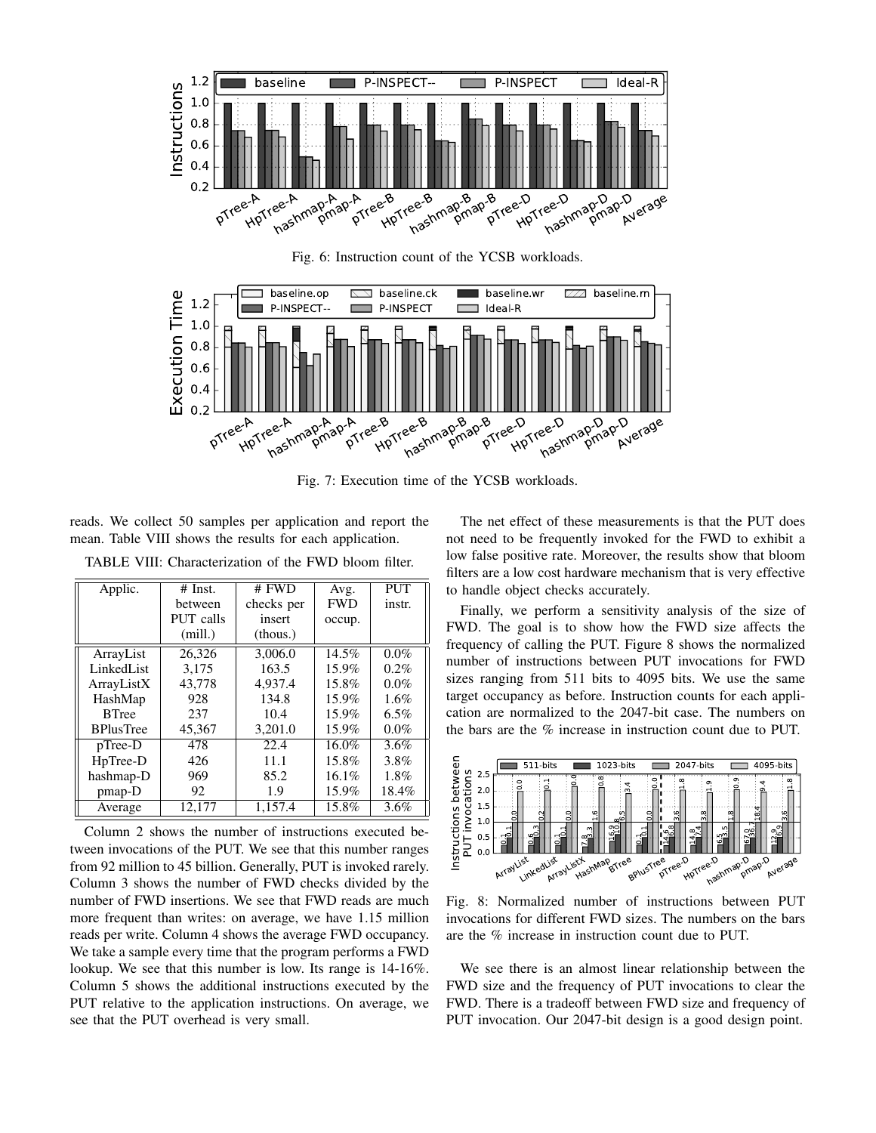<span id="page-11-0"></span>

Fig. 6: Instruction count of the YCSB workloads.

<span id="page-11-1"></span>

Fig. 7: Execution time of the YCSB workloads.

reads. We collect 50 samples per application and report the mean. Table [VIII](#page-11-2) shows the results for each application.

| Applic.          | $#$ Inst. | # FWD      | Avg.       | <b>PUT</b> |
|------------------|-----------|------------|------------|------------|
|                  | between   | checks per | <b>FWD</b> | instr.     |
|                  | PUT calls | insert     | occup.     |            |
|                  | (mill.)   | (thous.)   |            |            |
| ArrayList        | 26,326    | 3,006.0    | 14.5%      | $0.0\%$    |
| LinkedList       | 3.175     | 163.5      | $15.9\%$   | $0.2\%$    |
| ArrayListX       | 43,778    | 4.937.4    | 15.8%      | 0.0%       |
| HashMap          | 928       | 134.8      | $15.9\%$   | 1.6%       |
| <b>B</b> Tree    | 237       | 10.4       | $15.9\%$   | 6.5%       |
| <b>BPlusTree</b> | 45,367    | 3.201.0    | $15.9\%$   | $0.0\%$    |
| $pTree-D$        | 478       | 22.4       | $16.0\%$   | 3.6%       |
| HpTree-D         | 426       | 11.1       | 15.8%      | 3.8%       |
| hashmap-D        | 969       | 85.2       | $16.1\%$   | 1.8%       |
| $pmap-D$         | 92        | 1.9        | 15.9%      | 18.4%      |
| Average          | 12,177    | 1,157.4    | 15.8%      | $3.6\%$    |

<span id="page-11-2"></span>TABLE VIII: Characterization of the FWD bloom filter.

Column 2 shows the number of instructions executed between invocations of the PUT. We see that this number ranges from 92 million to 45 billion. Generally, PUT is invoked rarely. Column 3 shows the number of FWD checks divided by the number of FWD insertions. We see that FWD reads are much more frequent than writes: on average, we have 1.15 million reads per write. Column 4 shows the average FWD occupancy. We take a sample every time that the program performs a FWD lookup. We see that this number is low. Its range is 14-16%. Column 5 shows the additional instructions executed by the PUT relative to the application instructions. On average, we see that the PUT overhead is very small.

The net effect of these measurements is that the PUT does not need to be frequently invoked for the FWD to exhibit a low false positive rate. Moreover, the results show that bloom filters are a low cost hardware mechanism that is very effective to handle object checks accurately.

Finally, we perform a sensitivity analysis of the size of FWD. The goal is to show how the FWD size affects the frequency of calling the PUT. Figure [8](#page-11-3) shows the normalized number of instructions between PUT invocations for FWD sizes ranging from 511 bits to 4095 bits. We use the same target occupancy as before. Instruction counts for each application are normalized to the 2047-bit case. The numbers on the bars are the % increase in instruction count due to PUT.

<span id="page-11-3"></span>

Fig. 8: Normalized number of instructions between PUT invocations for different FWD sizes. The numbers on the bars are the % increase in instruction count due to PUT.

We see there is an almost linear relationship between the FWD size and the frequency of PUT invocations to clear the FWD. There is a tradeoff between FWD size and frequency of PUT invocation. Our 2047-bit design is a good design point.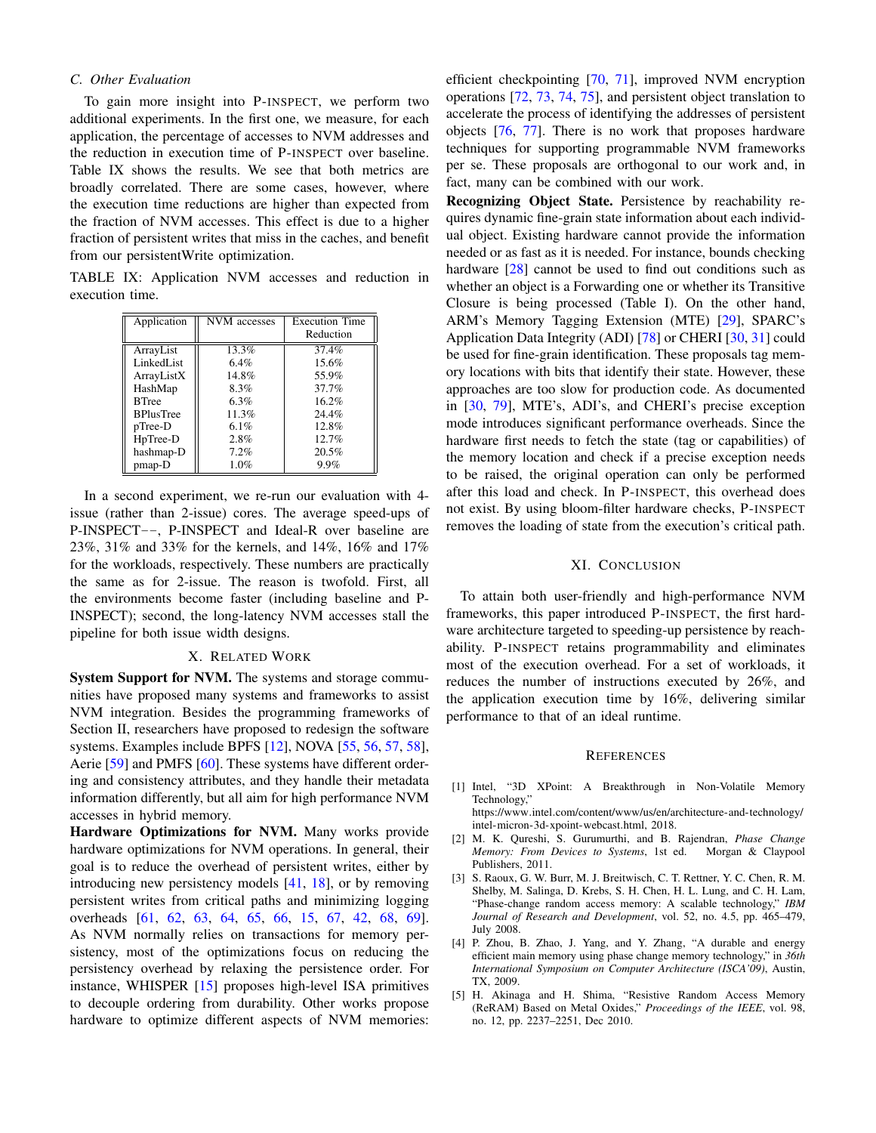# *C. Other Evaluation*

To gain more insight into P-INSPECT, we perform two additional experiments. In the first one, we measure, for each application, the percentage of accesses to NVM addresses and the reduction in execution time of P-INSPECT over baseline. Table [IX](#page-12-5) shows the results. We see that both metrics are broadly correlated. There are some cases, however, where the execution time reductions are higher than expected from the fraction of NVM accesses. This effect is due to a higher fraction of persistent writes that miss in the caches, and benefit from our persistentWrite optimization.

<span id="page-12-5"></span>TABLE IX: Application NVM accesses and reduction in execution time.

| Application      | NVM accesses | <b>Execution Time</b> |
|------------------|--------------|-----------------------|
|                  |              | Reduction             |
| ArrayList        | 13.3%        | 37.4%                 |
| LinkedList       | 6.4%         | 15.6%                 |
| ArrayListX       | 14.8%        | 55.9%                 |
| HashMap          | 8.3%         | 37.7%                 |
| <b>BTree</b>     | 6.3%         | 16.2%                 |
| <b>BPlusTree</b> | 11.3%        | 24.4%                 |
| pTree-D          | 6.1%         | 12.8%                 |
| HpTree-D         | 2.8%         | 12.7%                 |
| hashmap-D        | 7.2%         | 20.5%                 |
| pmap-D           | 1.0%         | 9.9%                  |

In a second experiment, we re-run our evaluation with 4 issue (rather than 2-issue) cores. The average speed-ups of P-INSPECT--, P-INSPECT and Ideal-R over baseline are 23%, 31% and 33% for the kernels, and 14%, 16% and 17% for the workloads, respectively. These numbers are practically the same as for 2-issue. The reason is twofold. First, all the environments become faster (including baseline and P-INSPECT); second, the long-latency NVM accesses stall the pipeline for both issue width designs.

# X. RELATED WORK

System Support for NVM. The systems and storage communities have proposed many systems and frameworks to assist NVM integration. Besides the programming frameworks of Section [II,](#page-1-2) researchers have proposed to redesign the software systems. Examples include BPFS [\[12\]](#page-13-6), NOVA [\[55,](#page-14-17) [56,](#page-14-18) [57,](#page-14-19) [58\]](#page-14-20), Aerie [\[59\]](#page-14-21) and PMFS [\[60\]](#page-14-22). These systems have different ordering and consistency attributes, and they handle their metadata information differently, but all aim for high performance NVM accesses in hybrid memory.

Hardware Optimizations for NVM. Many works provide hardware optimizations for NVM operations. In general, their goal is to reduce the overhead of persistent writes, either by introducing new persistency models [\[41,](#page-14-3) [18\]](#page-13-12), or by removing persistent writes from critical paths and minimizing logging overheads [\[61,](#page-14-23) [62,](#page-14-24) [63,](#page-14-25) [64,](#page-14-26) [65,](#page-14-27) [66,](#page-14-28) [15,](#page-13-9) [67,](#page-14-29) [42,](#page-14-4) [68,](#page-14-30) [69\]](#page-14-31). As NVM normally relies on transactions for memory persistency, most of the optimizations focus on reducing the persistency overhead by relaxing the persistence order. For instance, WHISPER [\[15\]](#page-13-9) proposes high-level ISA primitives to decouple ordering from durability. Other works propose hardware to optimize different aspects of NVM memories: efficient checkpointing [\[70,](#page-14-32) [71\]](#page-14-33), improved NVM encryption operations [\[72,](#page-15-0) [73,](#page-15-1) [74,](#page-15-2) [75\]](#page-15-3), and persistent object translation to accelerate the process of identifying the addresses of persistent objects [\[76,](#page-15-4) [77\]](#page-15-5). There is no work that proposes hardware techniques for supporting programmable NVM frameworks per se. These proposals are orthogonal to our work and, in fact, many can be combined with our work.

Recognizing Object State. Persistence by reachability requires dynamic fine-grain state information about each individual object. Existing hardware cannot provide the information needed or as fast as it is needed. For instance, bounds checking hardware [\[28\]](#page-13-22) cannot be used to find out conditions such as whether an object is a Forwarding one or whether its Transitive Closure is being processed (Table [I\)](#page-3-0). On the other hand, ARM's Memory Tagging Extension (MTE) [\[29\]](#page-13-23), SPARC's Application Data Integrity (ADI) [\[78\]](#page-15-6) or CHERI [\[30,](#page-13-24) [31\]](#page-13-25) could be used for fine-grain identification. These proposals tag memory locations with bits that identify their state. However, these approaches are too slow for production code. As documented in [\[30,](#page-13-24) [79\]](#page-15-7), MTE's, ADI's, and CHERI's precise exception mode introduces significant performance overheads. Since the hardware first needs to fetch the state (tag or capabilities) of the memory location and check if a precise exception needs to be raised, the original operation can only be performed after this load and check. In P-INSPECT, this overhead does not exist. By using bloom-filter hardware checks, P-INSPECT removes the loading of state from the execution's critical path.

#### XI. CONCLUSION

To attain both user-friendly and high-performance NVM frameworks, this paper introduced P-INSPECT, the first hardware architecture targeted to speeding-up persistence by reachability. P-INSPECT retains programmability and eliminates most of the execution overhead. For a set of workloads, it reduces the number of instructions executed by 26%, and the application execution time by 16%, delivering similar performance to that of an ideal runtime.

#### **REFERENCES**

- <span id="page-12-0"></span>[1] Intel, "3D XPoint: A Breakthrough in Non-Volatile Memory Technology,"
- https://www.intel.[com/content/www/us/en/architecture-and-technology/](https://www.intel.com/content/www/us/en/architecture-and-technology/intel-micron-3d-xpoint-webcast.html) [intel-micron-3d-xpoint-webcast](https://www.intel.com/content/www/us/en/architecture-and-technology/intel-micron-3d-xpoint-webcast.html).html, 2018.
- <span id="page-12-1"></span>[2] M. K. Qureshi, S. Gurumurthi, and B. Rajendran, *Phase Change Memory: From Devices to Systems*, 1st ed. Morgan & Claypool Publishers, 2011.
- <span id="page-12-2"></span>[3] S. Raoux, G. W. Burr, M. J. Breitwisch, C. T. Rettner, Y. C. Chen, R. M. Shelby, M. Salinga, D. Krebs, S. H. Chen, H. L. Lung, and C. H. Lam, "Phase-change random access memory: A scalable technology," *IBM Journal of Research and Development*, vol. 52, no. 4.5, pp. 465–479, July 2008.
- <span id="page-12-3"></span>[4] P. Zhou, B. Zhao, J. Yang, and Y. Zhang, "A durable and energy efficient main memory using phase change memory technology," in *36th International Symposium on Computer Architecture (ISCA'09)*, Austin, TX, 2009.
- <span id="page-12-4"></span>[5] H. Akinaga and H. Shima, "Resistive Random Access Memory (ReRAM) Based on Metal Oxides," *Proceedings of the IEEE*, vol. 98, no. 12, pp. 2237–2251, Dec 2010.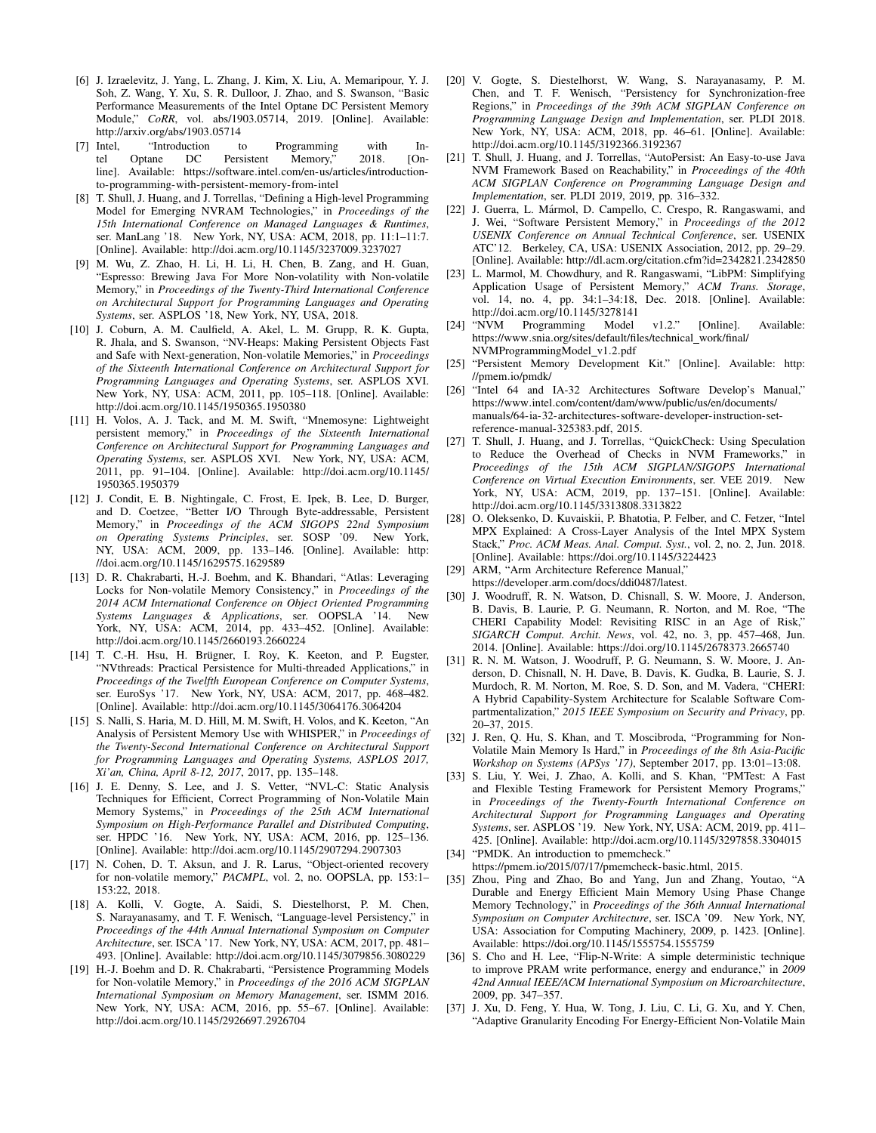- <span id="page-13-0"></span>[6] J. Izraelevitz, J. Yang, L. Zhang, J. Kim, X. Liu, A. Memaripour, Y. J. Soh, Z. Wang, Y. Xu, S. R. Dulloor, J. Zhao, and S. Swanson, "Basic Performance Measurements of the Intel Optane DC Persistent Memory Module," *CoRR*, vol. abs/1903.05714, 2019. [Online]. Available: http://arxiv.[org/abs/1903](http://arxiv.org/abs/1903.05714).05714
- <span id="page-13-1"></span>[7] Intel, "Introduction to Programming with Intel Optane DC Persistent Memory," 2018. [Ontel Optane DC Persistent Memory," 2018. [Online]. Available: https://software.intel.[com/en-us/articles/introduction](https://software.intel.com/en-us/articles/introduction-to-programming-with-persistent-memory-from-intel)[to-programming-with-persistent-memory-from-intel](https://software.intel.com/en-us/articles/introduction-to-programming-with-persistent-memory-from-intel)
- <span id="page-13-2"></span>[8] T. Shull, J. Huang, and J. Torrellas, "Defining a High-level Programming Model for Emerging NVRAM Technologies," in *Proceedings of the 15th International Conference on Managed Languages & Runtimes*, ser. ManLang '18. New York, NY, USA: ACM, 2018, pp. 11:1–11:7. [Online]. Available: http://doi.acm.org/10.[1145/3237009](http://doi.acm.org/10.1145/3237009.3237027).3237027
- <span id="page-13-3"></span>[9] M. Wu, Z. Zhao, H. Li, H. Li, H. Chen, B. Zang, and H. Guan, "Espresso: Brewing Java For More Non-volatility with Non-volatile Memory," in *Proceedings of the Twenty-Third International Conference on Architectural Support for Programming Languages and Operating Systems*, ser. ASPLOS '18, New York, NY, USA, 2018.
- <span id="page-13-4"></span>[10] J. Coburn, A. M. Caulfield, A. Akel, L. M. Grupp, R. K. Gupta, R. Jhala, and S. Swanson, "NV-Heaps: Making Persistent Objects Fast and Safe with Next-generation, Non-volatile Memories," in *Proceedings of the Sixteenth International Conference on Architectural Support for Programming Languages and Operating Systems*, ser. ASPLOS XVI. New York, NY, USA: ACM, 2011, pp. 105–118. [Online]. Available: http://doi.acm.org/10.[1145/1950365](http://doi.acm.org/10.1145/1950365.1950380).1950380
- <span id="page-13-5"></span>[11] H. Volos, A. J. Tack, and M. M. Swift, "Mnemosyne: Lightweight persistent memory," in *Proceedings of the Sixteenth International Conference on Architectural Support for Programming Languages and Operating Systems*, ser. ASPLOS XVI. New York, NY, USA: ACM, 2011, pp. 91–104. [Online]. Available: [http://doi](http://doi.acm.org/10.1145/1950365.1950379).acm.org/10.1145/ [1950365](http://doi.acm.org/10.1145/1950365.1950379).1950379
- <span id="page-13-6"></span>[12] J. Condit, E. B. Nightingale, C. Frost, E. Ipek, B. Lee, D. Burger, and D. Coetzee, "Better I/O Through Byte-addressable, Persistent Memory," in *Proceedings of the ACM SIGOPS 22nd Symposium on Operating Systems Principles*, ser. SOSP '09. New York, NY, USA: ACM, 2009, pp. 133–146. [Online]. Available: [http:](http://doi.acm.org/10.1145/1629575.1629589) //doi.acm.org/10.[1145/1629575](http://doi.acm.org/10.1145/1629575.1629589).1629589
- <span id="page-13-7"></span>[13] D. R. Chakrabarti, H.-J. Boehm, and K. Bhandari, "Atlas: Leveraging Locks for Non-volatile Memory Consistency," in *Proceedings of the 2014 ACM International Conference on Object Oriented Programming Systems Languages & Applications*, ser. OOPSLA '14. New York, NY, USA: ACM, 2014, pp. 433-452. [Online]. Available: http://doi.acm.org/10.[1145/2660193](http://doi.acm.org/10.1145/2660193.2660224).2660224
- <span id="page-13-8"></span>[14] T. C.-H. Hsu, H. Brügner, I. Roy, K. Keeton, and P. Eugster, "NVthreads: Practical Persistence for Multi-threaded Applications," in *Proceedings of the Twelfth European Conference on Computer Systems*, ser. EuroSys '17. New York, NY, USA: ACM, 2017, pp. 468–482. [Online]. Available: http://doi.acm.org/10.[1145/3064176](http://doi.acm.org/10.1145/3064176.3064204).3064204
- <span id="page-13-9"></span>[15] S. Nalli, S. Haria, M. D. Hill, M. M. Swift, H. Volos, and K. Keeton, "An Analysis of Persistent Memory Use with WHISPER," in *Proceedings of the Twenty-Second International Conference on Architectural Support for Programming Languages and Operating Systems, ASPLOS 2017, Xi'an, China, April 8-12, 2017*, 2017, pp. 135–148.
- <span id="page-13-10"></span>[16] J. E. Denny, S. Lee, and J. S. Vetter, "NVL-C: Static Analysis Techniques for Efficient, Correct Programming of Non-Volatile Main Memory Systems," in *Proceedings of the 25th ACM International Symposium on High-Performance Parallel and Distributed Computing*, ser. HPDC '16. New York, NY, USA: ACM, 2016, pp. 125–136. [Online]. Available: http://doi.acm.org/10.[1145/2907294](http://doi.acm.org/10.1145/2907294.2907303).2907303
- <span id="page-13-11"></span>[17] N. Cohen, D. T. Aksun, and J. R. Larus, "Object-oriented recovery for non-volatile memory," *PACMPL*, vol. 2, no. OOPSLA, pp. 153:1– 153:22, 2018.
- <span id="page-13-12"></span>[18] A. Kolli, V. Gogte, A. Saidi, S. Diestelhorst, P. M. Chen, S. Narayanasamy, and T. F. Wenisch, "Language-level Persistency," in *Proceedings of the 44th Annual International Symposium on Computer Architecture*, ser. ISCA '17. New York, NY, USA: ACM, 2017, pp. 481– 493. [Online]. Available: http://doi.acm.org/10.[1145/3079856](http://doi.acm.org/10.1145/3079856.3080229).3080229
- <span id="page-13-13"></span>[19] H.-J. Boehm and D. R. Chakrabarti, "Persistence Programming Models for Non-volatile Memory," in *Proceedings of the 2016 ACM SIGPLAN International Symposium on Memory Management*, ser. ISMM 2016. New York, NY, USA: ACM, 2016, pp. 55–67. [Online]. Available: http://doi.acm.org/10.[1145/2926697](http://doi.acm.org/10.1145/2926697.2926704).2926704
- <span id="page-13-14"></span>[20] V. Gogte, S. Diestelhorst, W. Wang, S. Narayanasamy, P. M. Chen, and T. F. Wenisch, "Persistency for Synchronization-free Regions," in *Proceedings of the 39th ACM SIGPLAN Conference on Programming Language Design and Implementation*, ser. PLDI 2018. New York, NY, USA: ACM, 2018, pp. 46–61. [Online]. Available: http://doi.acm.org/10.[1145/3192366](http://doi.acm.org/10.1145/3192366.3192367).3192367
- <span id="page-13-15"></span>[21] T. Shull, J. Huang, and J. Torrellas, "AutoPersist: An Easy-to-use Java NVM Framework Based on Reachability," in *Proceedings of the 40th ACM SIGPLAN Conference on Programming Language Design and Implementation*, ser. PLDI 2019, 2019, pp. 316–332.
- <span id="page-13-16"></span>[22] J. Guerra, L. Mármol, D. Campello, C. Crespo, R. Rangaswami, and J. Wei, "Software Persistent Memory," in *Proceedings of the 2012 USENIX Conference on Annual Technical Conference*, ser. USENIX ATC'12. Berkeley, CA, USA: USENIX Association, 2012, pp. 29–29. [Online]. Available: http://dl.acm.org/citation.[cfm?id=2342821](http://dl.acm.org/citation.cfm?id=2342821.2342850).2342850
- <span id="page-13-17"></span>[23] L. Marmol, M. Chowdhury, and R. Rangaswami, "LibPM: Simplifying Application Usage of Persistent Memory," *ACM Trans. Storage*, vol. 14, no. 4, pp. 34:1–34:18, Dec. 2018. [Online]. Available: http://doi.acm.org/10.[1145/3278141](http://doi.acm.org/10.1145/3278141)<br>[24] "NVM Programming Model
- <span id="page-13-18"></span>Programming Model v1.2." [Online]. Available: https://www.snia.[org/sites/default/files/technical](https://www.snia.org/sites/default/files/technical_work/final/ NVMProgrammingModel_v1.2.pdf)\_work/final/ [NVMProgrammingModel](https://www.snia.org/sites/default/files/technical_work/final/ NVMProgrammingModel_v1.2.pdf)\_v1.2.pdf
- <span id="page-13-19"></span>[25] "Persistent Memory Development Kit." [Online]. Available: [http:](http://pmem.io/pmdk/) //pmem.[io/pmdk/](http://pmem.io/pmdk/)
- <span id="page-13-20"></span>[26] "Intel 64 and IA-32 Architectures Software Develop's Manual," https://www.intel.[com/content/dam/www/public/us/en/documents/](https://www.intel.com/content/dam/www/public/us/en/documents/manuals/64-ia-32-architectures-software-developer-instruction-set-reference-manual-325383.pdf) [manuals/64-ia-32-architectures-software-developer-instruction-set](https://www.intel.com/content/dam/www/public/us/en/documents/manuals/64-ia-32-architectures-software-developer-instruction-set-reference-manual-325383.pdf)[reference-manual-325383](https://www.intel.com/content/dam/www/public/us/en/documents/manuals/64-ia-32-architectures-software-developer-instruction-set-reference-manual-325383.pdf).pdf, 2015.
- <span id="page-13-21"></span>[27] T. Shull, J. Huang, and J. Torrellas, "QuickCheck: Using Speculation to Reduce the Overhead of Checks in NVM Frameworks," in *Proceedings of the 15th ACM SIGPLAN/SIGOPS International Conference on Virtual Execution Environments*, ser. VEE 2019. New York, NY, USA: ACM, 2019, pp. 137–151. [Online]. Available: http://doi.acm.org/10.[1145/3313808](http://doi.acm.org/10.1145/3313808.3313822).3313822
- <span id="page-13-22"></span>[28] O. Oleksenko, D. Kuvaiskii, P. Bhatotia, P. Felber, and C. Fetzer, "Intel MPX Explained: A Cross-Layer Analysis of the Intel MPX System Stack," *Proc. ACM Meas. Anal. Comput. Syst.*, vol. 2, no. 2, Jun. 2018. [Online]. Available: https://doi.org/10.[1145/3224423](https://doi.org/10.1145/3224423)
- <span id="page-13-23"></span>[29] ARM, "Arm Architecture Reference Manual," https://developer.arm.[com/docs/ddi0487/latest.](https://developer.arm.com/ docs/ddi0487/latest)
- <span id="page-13-24"></span>[30] J. Woodruff, R. N. Watson, D. Chisnall, S. W. Moore, J. Anderson, B. Davis, B. Laurie, P. G. Neumann, R. Norton, and M. Roe, "The CHERI Capability Model: Revisiting RISC in an Age of Risk," *SIGARCH Comput. Archit. News*, vol. 42, no. 3, pp. 457–468, Jun. 2014. [Online]. Available: https://doi.org/10.[1145/2678373](https://doi.org/10.1145/2678373.2665740).2665740
- <span id="page-13-25"></span>[31] R. N. M. Watson, J. Woodruff, P. G. Neumann, S. W. Moore, J. Anderson, D. Chisnall, N. H. Dave, B. Davis, K. Gudka, B. Laurie, S. J. Murdoch, R. M. Norton, M. Roe, S. D. Son, and M. Vadera, "CHERI: A Hybrid Capability-System Architecture for Scalable Software Compartmentalization," *2015 IEEE Symposium on Security and Privacy*, pp. 20–37, 2015.
- <span id="page-13-26"></span>[32] J. Ren, Q. Hu, S. Khan, and T. Moscibroda, "Programming for Non-Volatile Main Memory Is Hard," in *Proceedings of the 8th Asia-Pacific Workshop on Systems (APSys '17)*, September 2017, pp. 13:01–13:08.
- <span id="page-13-27"></span>[33] S. Liu, Y. Wei, J. Zhao, A. Kolli, and S. Khan, "PMTest: A Fast and Flexible Testing Framework for Persistent Memory Programs," in *Proceedings of the Twenty-Fourth International Conference on Architectural Support for Programming Languages and Operating Systems*, ser. ASPLOS '19. New York, NY, USA: ACM, 2019, pp. 411– 425. [Online]. Available: http://doi.acm.org/10.[1145/3297858](http://doi.acm.org/10.1145/3297858.3304015).3304015 [34] "PMDK. An introduction to pmemcheck."
- <span id="page-13-28"></span>https://pmem.[io/2015/07/17/pmemcheck-basic](https://pmem.io/2015/07/17/pmemcheck-basic.html).html, 2015.
- <span id="page-13-29"></span>[35] Zhou, Ping and Zhao, Bo and Yang, Jun and Zhang, Youtao, "A Durable and Energy Efficient Main Memory Using Phase Change Memory Technology," in *Proceedings of the 36th Annual International Symposium on Computer Architecture*, ser. ISCA '09. New York, NY, USA: Association for Computing Machinery, 2009, p. 1423. [Online]. Available: https://doi.org/10.[1145/1555754](https://doi.org/10.1145/1555754.1555759).1555759
- <span id="page-13-30"></span>[36] S. Cho and H. Lee, "Flip-N-Write: A simple deterministic technique to improve PRAM write performance, energy and endurance," in *2009 42nd Annual IEEE/ACM International Symposium on Microarchitecture*, 2009, pp. 347–357.
- <span id="page-13-31"></span>[37] J. Xu, D. Feng, Y. Hua, W. Tong, J. Liu, C. Li, G. Xu, and Y. Chen, "Adaptive Granularity Encoding For Energy-Efficient Non-Volatile Main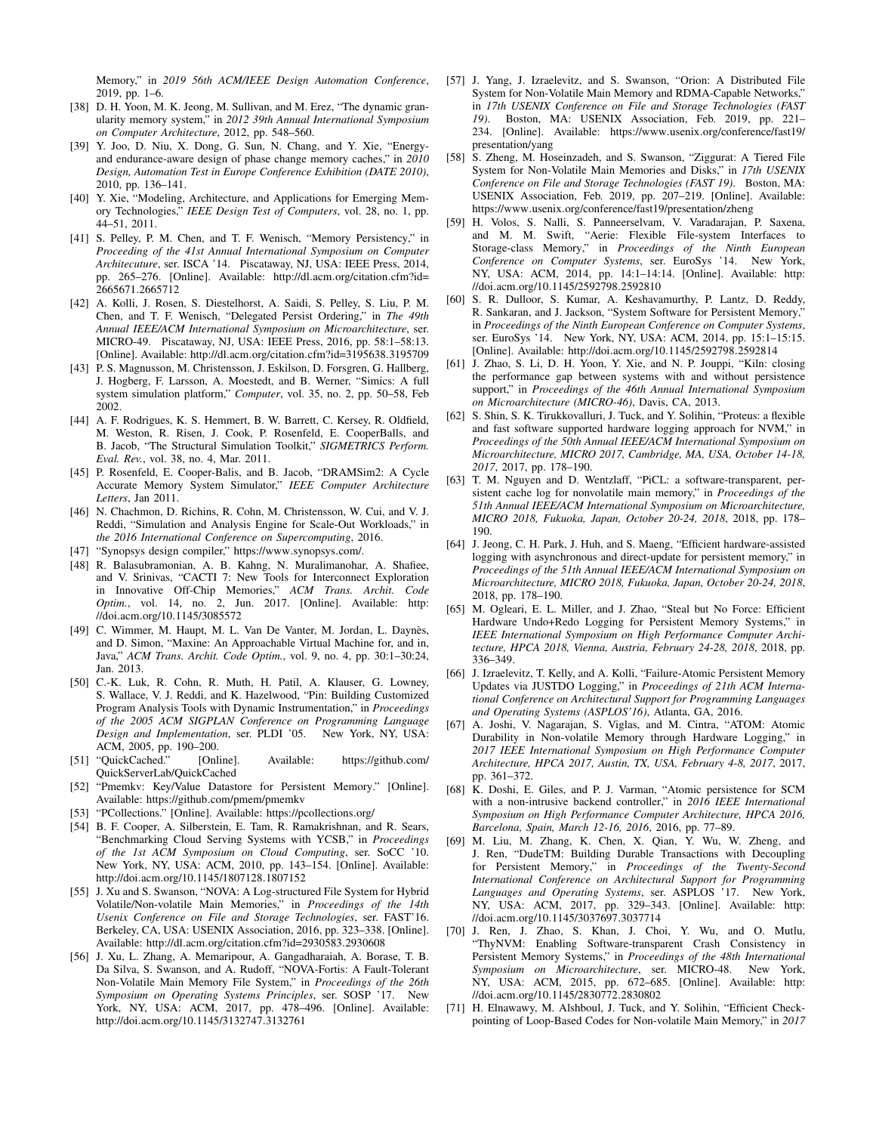Memory," in *2019 56th ACM/IEEE Design Automation Conference*, 2019, pp. 1–6.

- <span id="page-14-0"></span>[38] D. H. Yoon, M. K. Jeong, M. Sullivan, and M. Erez, "The dynamic granularity memory system," in *2012 39th Annual International Symposium on Computer Architecture*, 2012, pp. 548–560.
- <span id="page-14-1"></span>[39] Y. Joo, D. Niu, X. Dong, G. Sun, N. Chang, and Y. Xie, "Energyand endurance-aware design of phase change memory caches," in *2010 Design, Automation Test in Europe Conference Exhibition (DATE 2010)*, 2010, pp. 136–141.
- <span id="page-14-2"></span>[40] Y. Xie, "Modeling, Architecture, and Applications for Emerging Memory Technologies," *IEEE Design Test of Computers*, vol. 28, no. 1, pp. 44–51, 2011.
- <span id="page-14-3"></span>[41] S. Pelley, P. M. Chen, and T. F. Wenisch, "Memory Persistency," in *Proceeding of the 41st Annual International Symposium on Computer Architecuture*, ser. ISCA '14. Piscataway, NJ, USA: IEEE Press, 2014, pp. 265–276. [Online]. Available: http://dl.acm.[org/citation](http://dl.acm.org/citation.cfm?id=2665671.2665712).cfm?id= [2665671](http://dl.acm.org/citation.cfm?id=2665671.2665712).2665712
- <span id="page-14-4"></span>[42] A. Kolli, J. Rosen, S. Diestelhorst, A. Saidi, S. Pelley, S. Liu, P. M. Chen, and T. F. Wenisch, "Delegated Persist Ordering," in *The 49th Annual IEEE/ACM International Symposium on Microarchitecture*, ser. MICRO-49. Piscataway, NJ, USA: IEEE Press, 2016, pp. 58:1–58:13. [Online]. Available: http://dl.acm.org/citation.[cfm?id=3195638](http://dl.acm.org/citation.cfm?id=3195638.3195709).3195709
- <span id="page-14-5"></span>[43] P. S. Magnusson, M. Christensson, J. Eskilson, D. Forsgren, G. Hallberg, J. Hogberg, F. Larsson, A. Moestedt, and B. Werner, "Simics: A full system simulation platform," *Computer*, vol. 35, no. 2, pp. 50–58, Feb 2002.
- <span id="page-14-6"></span>[44] A. F. Rodrigues, K. S. Hemmert, B. W. Barrett, C. Kersey, R. Oldfield, M. Weston, R. Risen, J. Cook, P. Rosenfeld, E. CooperBalls, and B. Jacob, "The Structural Simulation Toolkit," *SIGMETRICS Perform. Eval. Rev.*, vol. 38, no. 4, Mar. 2011.
- <span id="page-14-7"></span>[45] P. Rosenfeld, E. Cooper-Balis, and B. Jacob, "DRAMSim2: A Cycle Accurate Memory System Simulator," *IEEE Computer Architecture Letters*, Jan 2011.
- <span id="page-14-8"></span>[46] N. Chachmon, D. Richins, R. Cohn, M. Christensson, W. Cui, and V. J. Reddi, "Simulation and Analysis Engine for Scale-Out Workloads," in *the 2016 International Conference on Supercomputing*, 2016.
- <span id="page-14-9"></span>[47] "Synopsys design compiler," [https://www](https://www.synopsys.com/).synopsys.com/.
- <span id="page-14-10"></span>[48] R. Balasubramonian, A. B. Kahng, N. Muralimanohar, A. Shafiee, and V. Srinivas, "CACTI 7: New Tools for Interconnect Exploration in Innovative Off-Chip Memories," *ACM Trans. Archit. Code Optim.*, vol. 14, no. 2, Jun. 2017. [Online]. Available: [http:](http://doi.acm.org/10.1145/3085572) //doi.acm.org/10.[1145/3085572](http://doi.acm.org/10.1145/3085572)
- <span id="page-14-11"></span>[49] C. Wimmer, M. Haupt, M. L. Van De Vanter, M. Jordan, L. Daynès, and D. Simon, "Maxine: An Approachable Virtual Machine for, and in, Java," *ACM Trans. Archit. Code Optim.*, vol. 9, no. 4, pp. 30:1–30:24, Jan. 2013.
- <span id="page-14-12"></span>[50] C.-K. Luk, R. Cohn, R. Muth, H. Patil, A. Klauser, G. Lowney, S. Wallace, V. J. Reddi, and K. Hazelwood, "Pin: Building Customized Program Analysis Tools with Dynamic Instrumentation," in *Proceedings of the 2005 ACM SIGPLAN Conference on Programming Language Design and Implementation*, ser. PLDI '05. New York, NY, USA: ACM, 2005, pp. 190–200.
- <span id="page-14-13"></span>[51] "QuickCached." [Online]. Available: [https://github](https://github.com/QuickServerLab/QuickCached).com/ [QuickServerLab/QuickCached](https://github.com/QuickServerLab/QuickCached)
- <span id="page-14-14"></span>[52] "Pmemkv: Key/Value Datastore for Persistent Memory." [Online]. Available: https://github.[com/pmem/pmemkv](https://github.com/pmem/pmemkv)
- <span id="page-14-15"></span>[53] "PCollections." [Online]. Available: [https://pcollections](https://pcollections.org/).org/
- <span id="page-14-16"></span>[54] B. F. Cooper, A. Silberstein, E. Tam, R. Ramakrishnan, and R. Sears, "Benchmarking Cloud Serving Systems with YCSB," in *Proceedings of the 1st ACM Symposium on Cloud Computing*, ser. SoCC '10. New York, NY, USA: ACM, 2010, pp. 143–154. [Online]. Available: http://doi.acm.org/10.[1145/1807128](http://doi.acm.org/10.1145/1807128.1807152).1807152
- <span id="page-14-17"></span>[55] J. Xu and S. Swanson, "NOVA: A Log-structured File System for Hybrid Volatile/Non-volatile Main Memories," in *Proceedings of the 14th Usenix Conference on File and Storage Technologies*, ser. FAST'16. Berkeley, CA, USA: USENIX Association, 2016, pp. 323–338. [Online]. Available: http://dl.acm.org/citation.[cfm?id=2930583](http://dl.acm.org/citation.cfm?id=2930583.2930608).2930608
- <span id="page-14-18"></span>[56] J. Xu, L. Zhang, A. Memaripour, A. Gangadharaiah, A. Borase, T. B. Da Silva, S. Swanson, and A. Rudoff, "NOVA-Fortis: A Fault-Tolerant Non-Volatile Main Memory File System," in *Proceedings of the 26th Symposium on Operating Systems Principles*, ser. SOSP '17. New York, NY, USA: ACM, 2017, pp. 478–496. [Online]. Available: http://doi.acm.org/10.[1145/3132747](http://doi.acm.org/10.1145/3132747.3132761).3132761
- <span id="page-14-19"></span>[57] J. Yang, J. Izraelevitz, and S. Swanson, "Orion: A Distributed File System for Non-Volatile Main Memory and RDMA-Capable Networks," in *17th USENIX Conference on File and Storage Technologies (FAST 19)*. Boston, MA: USENIX Association, Feb. 2019, pp. 221– 234. [Online]. Available: https://www.usenix.[org/conference/fast19/](https://www.usenix.org/conference/fast19/presentation/yang) [presentation/yang](https://www.usenix.org/conference/fast19/presentation/yang)
- <span id="page-14-20"></span>[58] S. Zheng, M. Hoseinzadeh, and S. Swanson, "Ziggurat: A Tiered File System for Non-Volatile Main Memories and Disks," in *17th USENIX Conference on File and Storage Technologies (FAST 19)*. Boston, MA: USENIX Association, Feb. 2019, pp. 207–219. [Online]. Available: https://www.usenix.[org/conference/fast19/presentation/zheng](https://www.usenix.org/conference/fast19/presentation/zheng)
- <span id="page-14-21"></span>[59] H. Volos, S. Nalli, S. Panneerselvam, V. Varadarajan, P. Saxena, and M. M. Swift, "Aerie: Flexible File-system Interfaces to Storage-class Memory," in *Proceedings of the Ninth European Conference on Computer Systems*, ser. EuroSys '14. New York, NY, USA: ACM, 2014, pp. 14:1–14:14. [Online]. Available: [http:](http://doi.acm.org/10.1145/2592798.2592810) //doi.acm.org/10.[1145/2592798](http://doi.acm.org/10.1145/2592798.2592810).2592810
- <span id="page-14-22"></span>[60] S. R. Dulloor, S. Kumar, A. Keshavamurthy, P. Lantz, D. Reddy, R. Sankaran, and J. Jackson, "System Software for Persistent Memory," in *Proceedings of the Ninth European Conference on Computer Systems*, ser. EuroSys '14. New York, NY, USA: ACM, 2014, pp. 15:1–15:15. [Online]. Available: http://doi.acm.org/10.[1145/2592798](http://doi.acm.org/10.1145/2592798.2592814).2592814
- <span id="page-14-23"></span>[61] J. Zhao, S. Li, D. H. Yoon, Y. Xie, and N. P. Jouppi, "Kiln: closing the performance gap between systems with and without persistence support," in *Proceedings of the 46th Annual International Symposium on Microarchitecture (MICRO-46)*, Davis, CA, 2013.
- <span id="page-14-24"></span>[62] S. Shin, S. K. Tirukkovalluri, J. Tuck, and Y. Solihin, "Proteus: a flexible and fast software supported hardware logging approach for NVM," in *Proceedings of the 50th Annual IEEE/ACM International Symposium on Microarchitecture, MICRO 2017, Cambridge, MA, USA, October 14-18, 2017*, 2017, pp. 178–190.
- <span id="page-14-25"></span>[63] T. M. Nguyen and D. Wentzlaff, "PiCL: a software-transparent, persistent cache log for nonvolatile main memory," in *Proceedings of the 51th Annual IEEE/ACM International Symposium on Microarchitecture, MICRO 2018, Fukuoka, Japan, October 20-24, 2018*, 2018, pp. 178– 190.
- <span id="page-14-26"></span>[64] J. Jeong, C. H. Park, J. Huh, and S. Maeng, "Efficient hardware-assisted logging with asynchronous and direct-update for persistent memory," in *Proceedings of the 51th Annual IEEE/ACM International Symposium on Microarchitecture, MICRO 2018, Fukuoka, Japan, October 20-24, 2018*, 2018, pp. 178–190.
- <span id="page-14-27"></span>[65] M. Ogleari, E. L. Miller, and J. Zhao, "Steal but No Force: Efficient Hardware Undo+Redo Logging for Persistent Memory Systems," in *IEEE International Symposium on High Performance Computer Architecture, HPCA 2018, Vienna, Austria, February 24-28, 2018*, 2018, pp. 336–349.
- <span id="page-14-28"></span>[66] J. Izraelevitz, T. Kelly, and A. Kolli, "Failure-Atomic Persistent Memory Updates via JUSTDO Logging," in *Proceedings of 21th ACM International Conference on Architectural Support for Programming Languages and Operating Systems (ASPLOS'16)*, Atlanta, GA, 2016.
- <span id="page-14-29"></span>[67] A. Joshi, V. Nagarajan, S. Viglas, and M. Cintra, "ATOM: Atomic Durability in Non-volatile Memory through Hardware Logging," in *2017 IEEE International Symposium on High Performance Computer Architecture, HPCA 2017, Austin, TX, USA, February 4-8, 2017*, 2017, pp. 361–372.
- <span id="page-14-30"></span>[68] K. Doshi, E. Giles, and P. J. Varman, "Atomic persistence for SCM with a non-intrusive backend controller," in *2016 IEEE International Symposium on High Performance Computer Architecture, HPCA 2016, Barcelona, Spain, March 12-16, 2016*, 2016, pp. 77–89.
- <span id="page-14-31"></span>[69] M. Liu, M. Zhang, K. Chen, X. Qian, Y. Wu, W. Zheng, and J. Ren, "DudeTM: Building Durable Transactions with Decoupling for Persistent Memory," in *Proceedings of the Twenty-Second International Conference on Architectural Support for Programming Languages and Operating Systems*, ser. ASPLOS '17. New York, NY, USA: ACM, 2017, pp. 329–343. [Online]. Available: [http:](http://doi.acm.org/10.1145/3037697.3037714) //doi.acm.org/10.[1145/3037697](http://doi.acm.org/10.1145/3037697.3037714).3037714
- <span id="page-14-32"></span>[70] J. Ren, J. Zhao, S. Khan, J. Choi, Y. Wu, and O. Mutlu, "ThyNVM: Enabling Software-transparent Crash Consistency in Persistent Memory Systems," in *Proceedings of the 48th International Symposium on Microarchitecture*, ser. MICRO-48. New York, NY, USA: ACM, 2015, pp. 672–685. [Online]. Available: [http:](http://doi.acm.org/10.1145/2830772.2830802) //doi.acm.org/10.[1145/2830772](http://doi.acm.org/10.1145/2830772.2830802).2830802
- <span id="page-14-33"></span>[71] H. Elnawawy, M. Alshboul, J. Tuck, and Y. Solihin, "Efficient Checkpointing of Loop-Based Codes for Non-volatile Main Memory," in *2017*